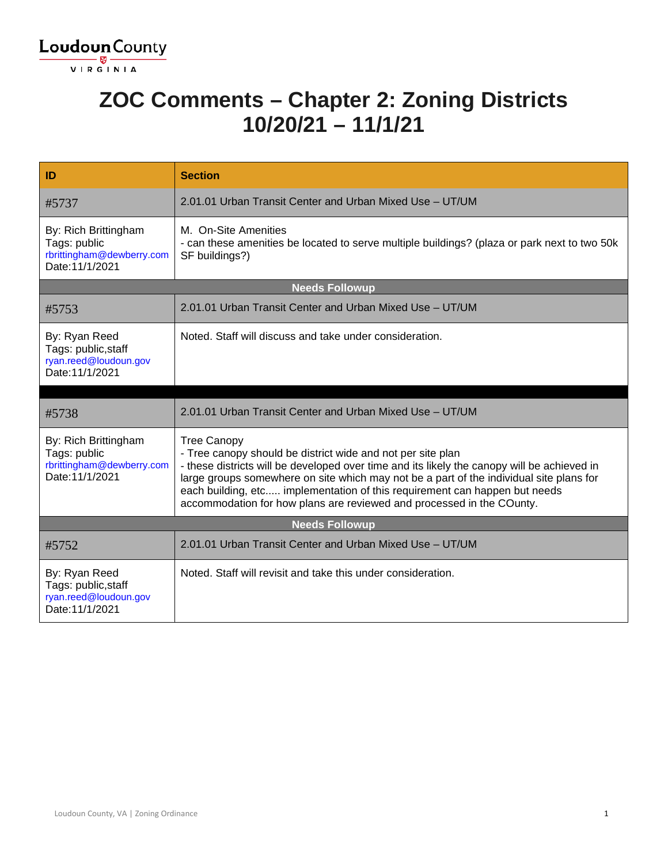

#### **ZOC Comments – Chapter 2: Zoning Districts 10/20/21 – 11/1/21**

| ID                                                                                   | <b>Section</b>                                                                                                                                                                                                                                                                                                                                                                                                                     |  |
|--------------------------------------------------------------------------------------|------------------------------------------------------------------------------------------------------------------------------------------------------------------------------------------------------------------------------------------------------------------------------------------------------------------------------------------------------------------------------------------------------------------------------------|--|
| #5737                                                                                | 2.01.01 Urban Transit Center and Urban Mixed Use - UT/UM                                                                                                                                                                                                                                                                                                                                                                           |  |
| By: Rich Brittingham<br>Tags: public<br>rbrittingham@dewberry.com<br>Date: 11/1/2021 | M. On-Site Amenities<br>- can these amenities be located to serve multiple buildings? (plaza or park next to two 50k<br>SF buildings?)                                                                                                                                                                                                                                                                                             |  |
|                                                                                      | <b>Needs Followup</b>                                                                                                                                                                                                                                                                                                                                                                                                              |  |
| #5753                                                                                | 2.01.01 Urban Transit Center and Urban Mixed Use - UT/UM                                                                                                                                                                                                                                                                                                                                                                           |  |
| By: Ryan Reed<br>Tags: public, staff<br>ryan.reed@loudoun.gov<br>Date: 11/1/2021     | Noted. Staff will discuss and take under consideration.                                                                                                                                                                                                                                                                                                                                                                            |  |
|                                                                                      |                                                                                                                                                                                                                                                                                                                                                                                                                                    |  |
| #5738                                                                                | 2.01.01 Urban Transit Center and Urban Mixed Use - UT/UM                                                                                                                                                                                                                                                                                                                                                                           |  |
| By: Rich Brittingham<br>Tags: public<br>rbrittingham@dewberry.com<br>Date: 11/1/2021 | <b>Tree Canopy</b><br>- Tree canopy should be district wide and not per site plan<br>- these districts will be developed over time and its likely the canopy will be achieved in<br>large groups somewhere on site which may not be a part of the individual site plans for<br>each building, etc implementation of this requirement can happen but needs<br>accommodation for how plans are reviewed and processed in the COunty. |  |
| <b>Needs Followup</b>                                                                |                                                                                                                                                                                                                                                                                                                                                                                                                                    |  |
| #5752                                                                                | 2.01.01 Urban Transit Center and Urban Mixed Use - UT/UM                                                                                                                                                                                                                                                                                                                                                                           |  |
| By: Ryan Reed<br>Tags: public, staff<br>ryan.reed@loudoun.gov<br>Date: 11/1/2021     | Noted. Staff will revisit and take this under consideration.                                                                                                                                                                                                                                                                                                                                                                       |  |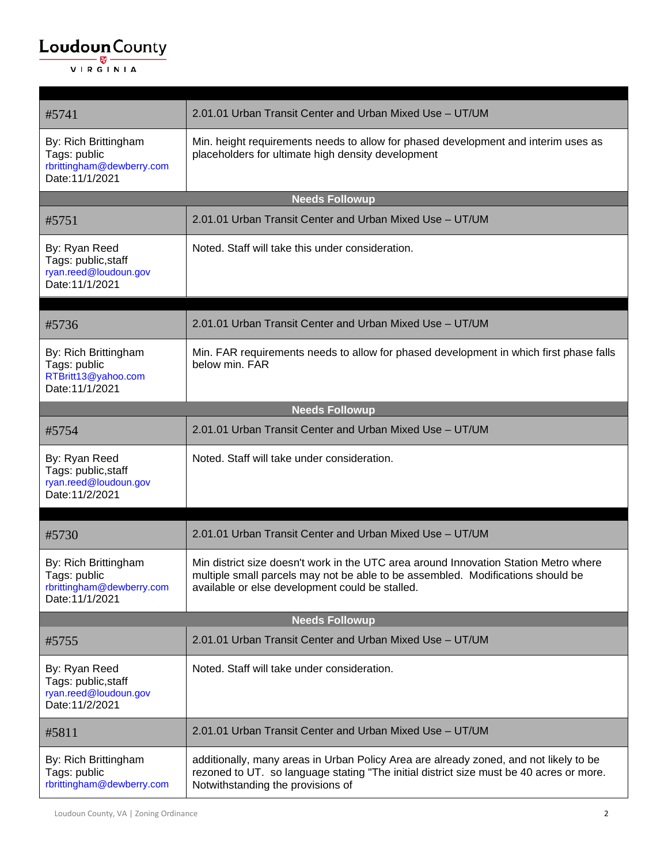| #5741                                                                                | 2.01.01 Urban Transit Center and Urban Mixed Use - UT/UM                                                                                                                                                                   |  |
|--------------------------------------------------------------------------------------|----------------------------------------------------------------------------------------------------------------------------------------------------------------------------------------------------------------------------|--|
| By: Rich Brittingham<br>Tags: public<br>rbrittingham@dewberry.com<br>Date: 11/1/2021 | Min. height requirements needs to allow for phased development and interim uses as<br>placeholders for ultimate high density development                                                                                   |  |
|                                                                                      | <b>Needs Followup</b>                                                                                                                                                                                                      |  |
| #5751                                                                                | 2.01.01 Urban Transit Center and Urban Mixed Use - UT/UM                                                                                                                                                                   |  |
| By: Ryan Reed<br>Tags: public, staff<br>ryan.reed@loudoun.gov<br>Date: 11/1/2021     | Noted. Staff will take this under consideration.                                                                                                                                                                           |  |
|                                                                                      |                                                                                                                                                                                                                            |  |
| #5736                                                                                | 2.01.01 Urban Transit Center and Urban Mixed Use - UT/UM                                                                                                                                                                   |  |
| By: Rich Brittingham<br>Tags: public<br>RTBritt13@yahoo.com<br>Date: 11/1/2021       | Min. FAR requirements needs to allow for phased development in which first phase falls<br>below min. FAR                                                                                                                   |  |
|                                                                                      | <b>Needs Followup</b>                                                                                                                                                                                                      |  |
| #5754                                                                                | 2.01.01 Urban Transit Center and Urban Mixed Use - UT/UM                                                                                                                                                                   |  |
| By: Ryan Reed<br>Tags: public, staff<br>ryan.reed@loudoun.gov<br>Date: 11/2/2021     | Noted. Staff will take under consideration.                                                                                                                                                                                |  |
| #5730                                                                                | 2.01.01 Urban Transit Center and Urban Mixed Use - UT/UM                                                                                                                                                                   |  |
|                                                                                      |                                                                                                                                                                                                                            |  |
| By: Rich Brittingham<br>Tags: public<br>rbrittingham@dewberry.com<br>Date: 11/1/2021 | Min district size doesn't work in the UTC area around Innovation Station Metro where<br>multiple small parcels may not be able to be assembled. Modifications should be<br>available or else development could be stalled. |  |
| <b>Needs Followup</b>                                                                |                                                                                                                                                                                                                            |  |
| #5755                                                                                | 2.01.01 Urban Transit Center and Urban Mixed Use - UT/UM                                                                                                                                                                   |  |
| By: Ryan Reed<br>Tags: public, staff<br>ryan.reed@loudoun.gov<br>Date: 11/2/2021     | Noted. Staff will take under consideration.                                                                                                                                                                                |  |
| #5811                                                                                | 2.01.01 Urban Transit Center and Urban Mixed Use - UT/UM                                                                                                                                                                   |  |
| By: Rich Brittingham<br>Tags: public<br>rbrittingham@dewberry.com                    | additionally, many areas in Urban Policy Area are already zoned, and not likely to be<br>rezoned to UT. so language stating "The initial district size must be 40 acres or more.<br>Notwithstanding the provisions of      |  |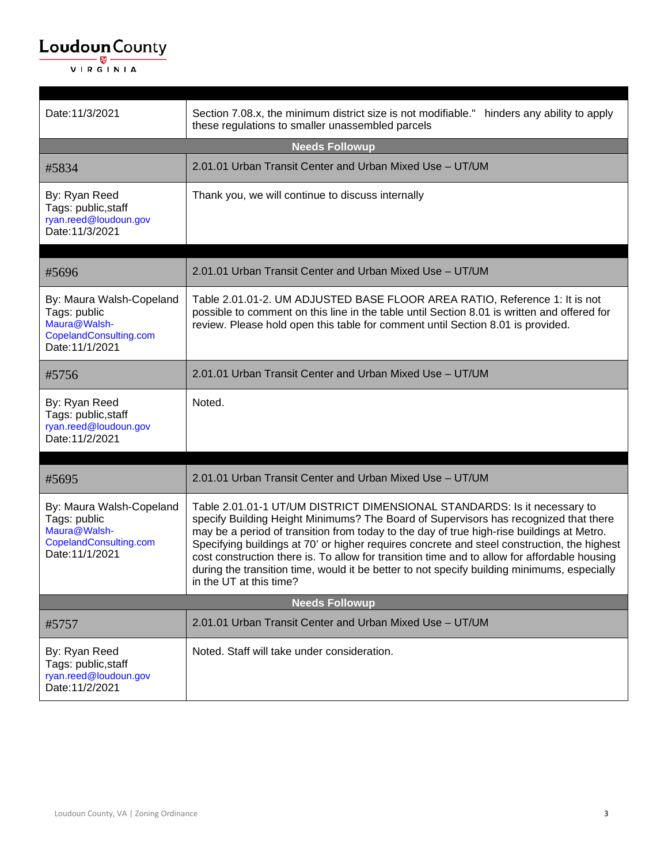| Date: 11/3/2021                                                                                       | Section 7.08.x, the minimum district size is not modifiable."<br>hinders any ability to apply<br>these regulations to smaller unassembled parcels                                                                                                                                                                                                                                                                                                                                                                                                                                      |
|-------------------------------------------------------------------------------------------------------|----------------------------------------------------------------------------------------------------------------------------------------------------------------------------------------------------------------------------------------------------------------------------------------------------------------------------------------------------------------------------------------------------------------------------------------------------------------------------------------------------------------------------------------------------------------------------------------|
|                                                                                                       | <b>Needs Followup</b>                                                                                                                                                                                                                                                                                                                                                                                                                                                                                                                                                                  |
| #5834                                                                                                 | 2.01.01 Urban Transit Center and Urban Mixed Use - UT/UM                                                                                                                                                                                                                                                                                                                                                                                                                                                                                                                               |
| By: Ryan Reed<br>Tags: public, staff<br>ryan.reed@loudoun.gov<br>Date: 11/3/2021                      | Thank you, we will continue to discuss internally                                                                                                                                                                                                                                                                                                                                                                                                                                                                                                                                      |
| #5696                                                                                                 | 2.01.01 Urban Transit Center and Urban Mixed Use - UT/UM                                                                                                                                                                                                                                                                                                                                                                                                                                                                                                                               |
| By: Maura Walsh-Copeland<br>Tags: public<br>Maura@Walsh-<br>CopelandConsulting.com<br>Date: 11/1/2021 | Table 2.01.01-2. UM ADJUSTED BASE FLOOR AREA RATIO, Reference 1: It is not<br>possible to comment on this line in the table until Section 8.01 is written and offered for<br>review. Please hold open this table for comment until Section 8.01 is provided.                                                                                                                                                                                                                                                                                                                           |
| #5756                                                                                                 | 2.01.01 Urban Transit Center and Urban Mixed Use - UT/UM                                                                                                                                                                                                                                                                                                                                                                                                                                                                                                                               |
| By: Ryan Reed<br>Tags: public, staff<br>ryan.reed@loudoun.gov<br>Date: 11/2/2021                      | Noted.                                                                                                                                                                                                                                                                                                                                                                                                                                                                                                                                                                                 |
| #5695                                                                                                 | 2.01.01 Urban Transit Center and Urban Mixed Use - UT/UM                                                                                                                                                                                                                                                                                                                                                                                                                                                                                                                               |
| By: Maura Walsh-Copeland<br>Tags: public<br>Maura@Walsh-<br>CopelandConsulting.com<br>Date: 11/1/2021 | Table 2.01.01-1 UT/UM DISTRICT DIMENSIONAL STANDARDS: Is it necessary to<br>specify Building Height Minimums? The Board of Supervisors has recognized that there<br>may be a period of transition from today to the day of true high-rise buildings at Metro.<br>Specifying buildings at 70' or higher requires concrete and steel construction, the highest<br>cost construction there is. To allow for transition time and to allow for affordable housing<br>during the transition time, would it be better to not specify building minimums, especially<br>in the UT at this time? |
| <b>Needs Followup</b>                                                                                 |                                                                                                                                                                                                                                                                                                                                                                                                                                                                                                                                                                                        |
| #5757                                                                                                 | 2.01.01 Urban Transit Center and Urban Mixed Use - UT/UM                                                                                                                                                                                                                                                                                                                                                                                                                                                                                                                               |
| By: Ryan Reed<br>Tags: public, staff<br>ryan.reed@loudoun.gov<br>Date: 11/2/2021                      | Noted. Staff will take under consideration.                                                                                                                                                                                                                                                                                                                                                                                                                                                                                                                                            |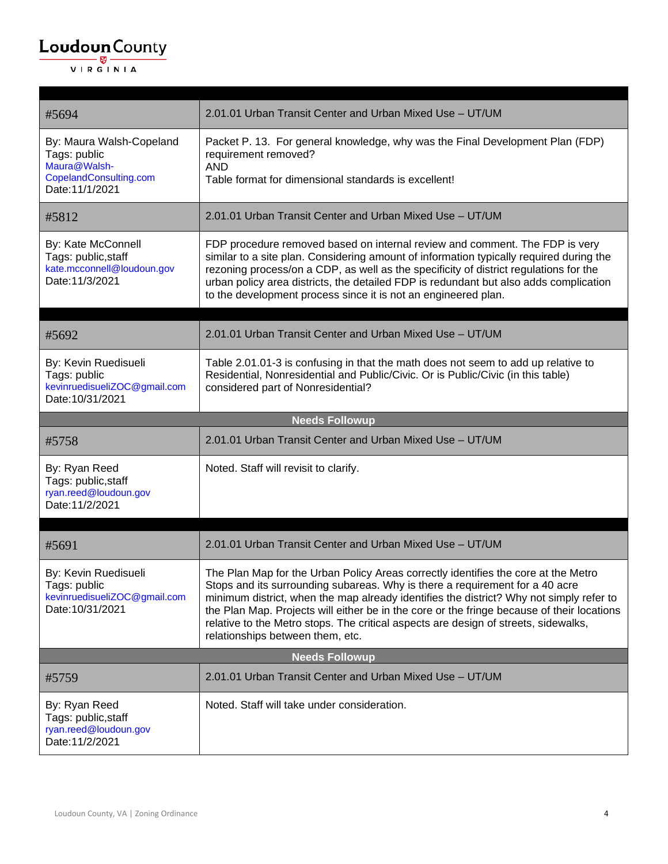| #5694                                                                                                 | 2.01.01 Urban Transit Center and Urban Mixed Use - UT/UM                                                                                                                                                                                                                                                                                                                                                                                                                               |
|-------------------------------------------------------------------------------------------------------|----------------------------------------------------------------------------------------------------------------------------------------------------------------------------------------------------------------------------------------------------------------------------------------------------------------------------------------------------------------------------------------------------------------------------------------------------------------------------------------|
| By: Maura Walsh-Copeland<br>Tags: public<br>Maura@Walsh-<br>CopelandConsulting.com<br>Date: 11/1/2021 | Packet P. 13. For general knowledge, why was the Final Development Plan (FDP)<br>requirement removed?<br><b>AND</b><br>Table format for dimensional standards is excellent!                                                                                                                                                                                                                                                                                                            |
| #5812                                                                                                 | 2.01.01 Urban Transit Center and Urban Mixed Use - UT/UM                                                                                                                                                                                                                                                                                                                                                                                                                               |
| By: Kate McConnell<br>Tags: public, staff<br>kate.mcconnell@loudoun.gov<br>Date: 11/3/2021            | FDP procedure removed based on internal review and comment. The FDP is very<br>similar to a site plan. Considering amount of information typically required during the<br>rezoning process/on a CDP, as well as the specificity of district regulations for the<br>urban policy area districts, the detailed FDP is redundant but also adds complication<br>to the development process since it is not an engineered plan.                                                             |
| #5692                                                                                                 | 2.01.01 Urban Transit Center and Urban Mixed Use - UT/UM                                                                                                                                                                                                                                                                                                                                                                                                                               |
|                                                                                                       |                                                                                                                                                                                                                                                                                                                                                                                                                                                                                        |
| By: Kevin Ruedisueli<br>Tags: public<br>kevinruedisueliZOC@gmail.com<br>Date:10/31/2021               | Table 2.01.01-3 is confusing in that the math does not seem to add up relative to<br>Residential, Nonresidential and Public/Civic. Or is Public/Civic (in this table)<br>considered part of Nonresidential?                                                                                                                                                                                                                                                                            |
|                                                                                                       | <b>Needs Followup</b>                                                                                                                                                                                                                                                                                                                                                                                                                                                                  |
| #5758                                                                                                 | 2.01.01 Urban Transit Center and Urban Mixed Use - UT/UM                                                                                                                                                                                                                                                                                                                                                                                                                               |
| By: Ryan Reed<br>Tags: public, staff<br>ryan.reed@loudoun.gov<br>Date: 11/2/2021                      | Noted. Staff will revisit to clarify.                                                                                                                                                                                                                                                                                                                                                                                                                                                  |
|                                                                                                       |                                                                                                                                                                                                                                                                                                                                                                                                                                                                                        |
| #5691                                                                                                 | 2.01.01 Urban Transit Center and Urban Mixed Use - UT/UM                                                                                                                                                                                                                                                                                                                                                                                                                               |
| By: Kevin Ruedisueli<br>Tags: public<br>kevinruedisueliZOC@gmail.com<br>Date: 10/31/2021              | The Plan Map for the Urban Policy Areas correctly identifies the core at the Metro<br>Stops and its surrounding subareas. Why is there a requirement for a 40 acre<br>minimum district, when the map already identifies the district? Why not simply refer to<br>the Plan Map. Projects will either be in the core or the fringe because of their locations<br>relative to the Metro stops. The critical aspects are design of streets, sidewalks,<br>relationships between them, etc. |
|                                                                                                       | <b>Needs Followup</b>                                                                                                                                                                                                                                                                                                                                                                                                                                                                  |
| #5759                                                                                                 | 2.01.01 Urban Transit Center and Urban Mixed Use - UT/UM                                                                                                                                                                                                                                                                                                                                                                                                                               |
| By: Ryan Reed<br>Tags: public, staff<br>ryan.reed@loudoun.gov<br>Date: 11/2/2021                      | Noted. Staff will take under consideration.                                                                                                                                                                                                                                                                                                                                                                                                                                            |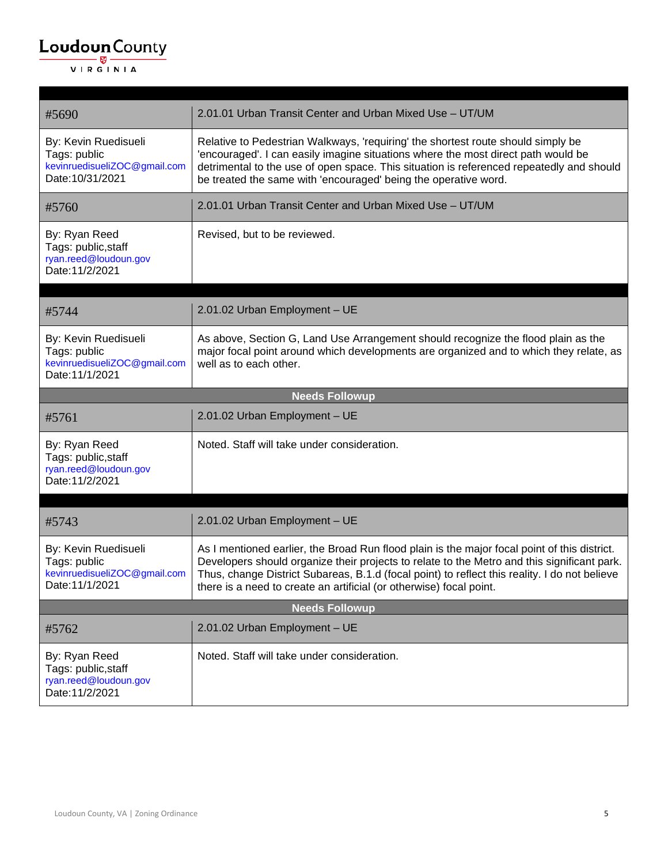| #5690                                                                                    | 2.01.01 Urban Transit Center and Urban Mixed Use - UT/UM                                                                                                                                                                                                                                                                                                            |
|------------------------------------------------------------------------------------------|---------------------------------------------------------------------------------------------------------------------------------------------------------------------------------------------------------------------------------------------------------------------------------------------------------------------------------------------------------------------|
| By: Kevin Ruedisueli<br>Tags: public<br>kevinruedisueliZOC@gmail.com<br>Date: 10/31/2021 | Relative to Pedestrian Walkways, 'requiring' the shortest route should simply be<br>'encouraged'. I can easily imagine situations where the most direct path would be<br>detrimental to the use of open space. This situation is referenced repeatedly and should<br>be treated the same with 'encouraged' being the operative word.                                |
| #5760                                                                                    | 2.01.01 Urban Transit Center and Urban Mixed Use - UT/UM                                                                                                                                                                                                                                                                                                            |
| By: Ryan Reed<br>Tags: public, staff<br>ryan.reed@loudoun.gov<br>Date: 11/2/2021         | Revised, but to be reviewed.                                                                                                                                                                                                                                                                                                                                        |
| #5744                                                                                    | 2.01.02 Urban Employment - UE                                                                                                                                                                                                                                                                                                                                       |
| By: Kevin Ruedisueli<br>Tags: public<br>kevinruedisueliZOC@gmail.com<br>Date: 11/1/2021  | As above, Section G, Land Use Arrangement should recognize the flood plain as the<br>major focal point around which developments are organized and to which they relate, as<br>well as to each other.                                                                                                                                                               |
|                                                                                          | <b>Needs Followup</b>                                                                                                                                                                                                                                                                                                                                               |
| #5761                                                                                    | 2.01.02 Urban Employment - UE                                                                                                                                                                                                                                                                                                                                       |
| By: Ryan Reed<br>Tags: public, staff<br>ryan.reed@loudoun.gov<br>Date: 11/2/2021         | Noted. Staff will take under consideration.                                                                                                                                                                                                                                                                                                                         |
| #5743                                                                                    | 2.01.02 Urban Employment - UE                                                                                                                                                                                                                                                                                                                                       |
| By: Kevin Ruedisueli<br>Tags: public<br>kevinruedisueliZOC@gmail.com<br>Date:11/1/2021   | As I mentioned earlier, the Broad Run flood plain is the major focal point of this district.<br>Developers should organize their projects to relate to the Metro and this significant park.<br>Thus, change District Subareas, B.1.d (focal point) to reflect this reality. I do not believe<br>there is a need to create an artificial (or otherwise) focal point. |
|                                                                                          | <b>Needs Followup</b>                                                                                                                                                                                                                                                                                                                                               |
| #5762                                                                                    | 2.01.02 Urban Employment - UE                                                                                                                                                                                                                                                                                                                                       |
| By: Ryan Reed<br>Tags: public, staff<br>ryan.reed@loudoun.gov                            | Noted. Staff will take under consideration.                                                                                                                                                                                                                                                                                                                         |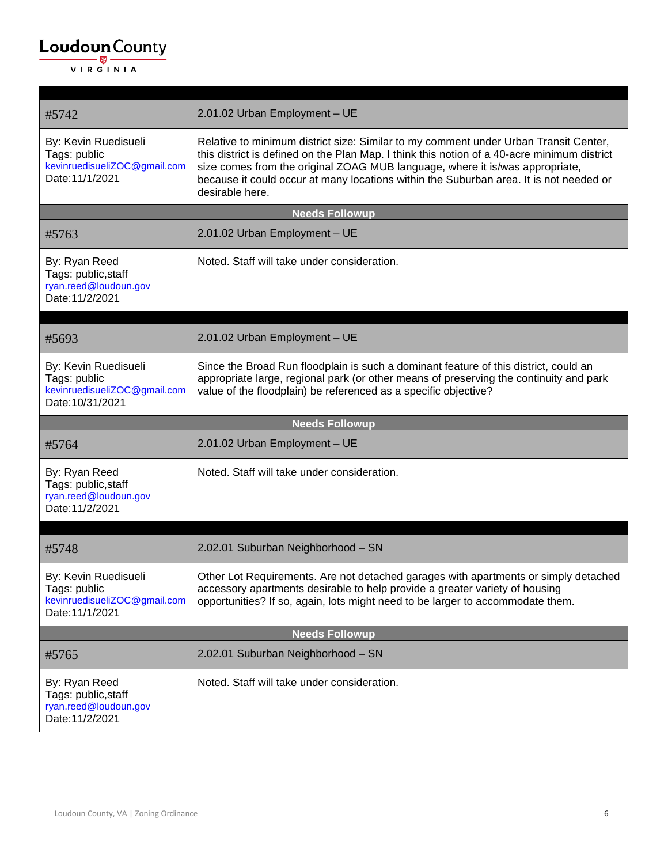| #5742                                                                                   | 2.01.02 Urban Employment - UE                                                                                                                                                                                                                                                                                                                                                    |
|-----------------------------------------------------------------------------------------|----------------------------------------------------------------------------------------------------------------------------------------------------------------------------------------------------------------------------------------------------------------------------------------------------------------------------------------------------------------------------------|
| By: Kevin Ruedisueli<br>Tags: public<br>kevinruedisueliZOC@gmail.com<br>Date: 11/1/2021 | Relative to minimum district size: Similar to my comment under Urban Transit Center,<br>this district is defined on the Plan Map. I think this notion of a 40-acre minimum district<br>size comes from the original ZOAG MUB language, where it is/was appropriate,<br>because it could occur at many locations within the Suburban area. It is not needed or<br>desirable here. |
|                                                                                         | <b>Needs Followup</b>                                                                                                                                                                                                                                                                                                                                                            |
| #5763                                                                                   | 2.01.02 Urban Employment - UE                                                                                                                                                                                                                                                                                                                                                    |
| By: Ryan Reed<br>Tags: public, staff<br>ryan.reed@loudoun.gov<br>Date: 11/2/2021        | Noted. Staff will take under consideration.                                                                                                                                                                                                                                                                                                                                      |
| #5693                                                                                   | 2.01.02 Urban Employment - UE                                                                                                                                                                                                                                                                                                                                                    |
| By: Kevin Ruedisueli<br>Tags: public<br>kevinruedisueliZOC@gmail.com<br>Date:10/31/2021 | Since the Broad Run floodplain is such a dominant feature of this district, could an<br>appropriate large, regional park (or other means of preserving the continuity and park<br>value of the floodplain) be referenced as a specific objective?                                                                                                                                |
|                                                                                         |                                                                                                                                                                                                                                                                                                                                                                                  |
|                                                                                         | <b>Needs Followup</b>                                                                                                                                                                                                                                                                                                                                                            |
| #5764                                                                                   | 2.01.02 Urban Employment - UE                                                                                                                                                                                                                                                                                                                                                    |
| By: Ryan Reed<br>Tags: public, staff<br>ryan.reed@loudoun.gov<br>Date: 11/2/2021        | Noted. Staff will take under consideration.                                                                                                                                                                                                                                                                                                                                      |
| #5748                                                                                   | 2.02.01 Suburban Neighborhood - SN                                                                                                                                                                                                                                                                                                                                               |
| By: Kevin Ruedisueli<br>Tags: public<br>kevinruedisueliZOC@gmail.com<br>Date: 11/1/2021 | Other Lot Requirements. Are not detached garages with apartments or simply detached<br>accessory apartments desirable to help provide a greater variety of housing<br>opportunities? If so, again, lots might need to be larger to accommodate them.                                                                                                                             |
|                                                                                         | <b>Needs Followup</b>                                                                                                                                                                                                                                                                                                                                                            |
| #5765                                                                                   | 2.02.01 Suburban Neighborhood - SN                                                                                                                                                                                                                                                                                                                                               |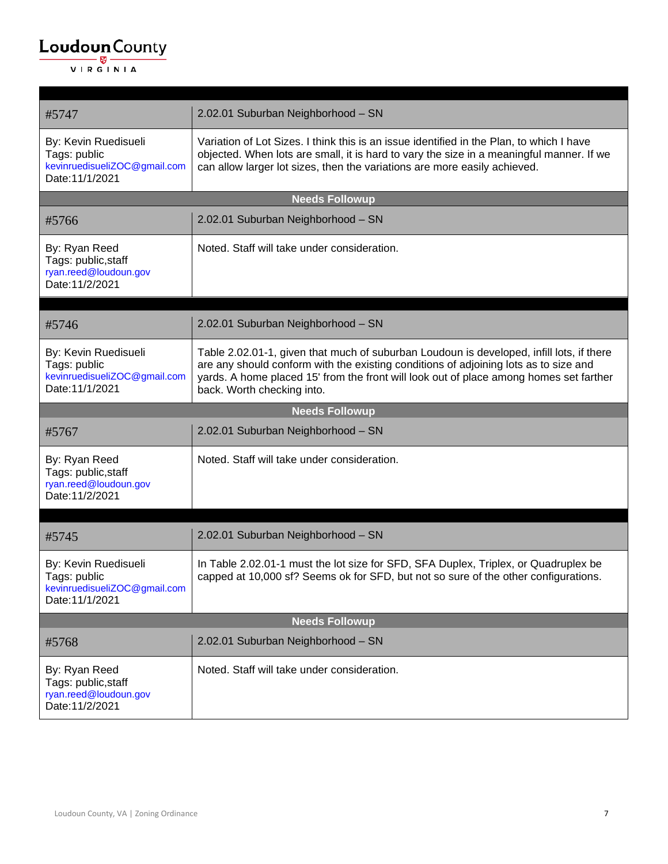| #5747                                                                                   | 2.02.01 Suburban Neighborhood - SN                                                                                                                                                                                                                                                                       |  |
|-----------------------------------------------------------------------------------------|----------------------------------------------------------------------------------------------------------------------------------------------------------------------------------------------------------------------------------------------------------------------------------------------------------|--|
| By: Kevin Ruedisueli<br>Tags: public<br>kevinruedisueliZOC@gmail.com<br>Date: 11/1/2021 | Variation of Lot Sizes. I think this is an issue identified in the Plan, to which I have<br>objected. When lots are small, it is hard to vary the size in a meaningful manner. If we<br>can allow larger lot sizes, then the variations are more easily achieved.                                        |  |
| <b>Needs Followup</b>                                                                   |                                                                                                                                                                                                                                                                                                          |  |
| #5766                                                                                   | 2.02.01 Suburban Neighborhood - SN                                                                                                                                                                                                                                                                       |  |
| By: Ryan Reed<br>Tags: public, staff<br>ryan.reed@loudoun.gov<br>Date: 11/2/2021        | Noted. Staff will take under consideration.                                                                                                                                                                                                                                                              |  |
|                                                                                         |                                                                                                                                                                                                                                                                                                          |  |
| #5746                                                                                   | 2.02.01 Suburban Neighborhood - SN                                                                                                                                                                                                                                                                       |  |
| By: Kevin Ruedisueli<br>Tags: public<br>kevinruedisueliZOC@gmail.com<br>Date: 11/1/2021 | Table 2.02.01-1, given that much of suburban Loudoun is developed, infill lots, if there<br>are any should conform with the existing conditions of adjoining lots as to size and<br>yards. A home placed 15' from the front will look out of place among homes set farther<br>back. Worth checking into. |  |
|                                                                                         | <b>Needs Followup</b>                                                                                                                                                                                                                                                                                    |  |
| #5767                                                                                   | 2.02.01 Suburban Neighborhood - SN                                                                                                                                                                                                                                                                       |  |
| By: Ryan Reed<br>Tags: public, staff<br>ryan.reed@loudoun.gov<br>Date: 11/2/2021        | Noted. Staff will take under consideration.                                                                                                                                                                                                                                                              |  |
| #5745                                                                                   | 2.02.01 Suburban Neighborhood - SN                                                                                                                                                                                                                                                                       |  |
| By: Kevin Ruedisueli<br>Tags: public<br>kevinruedisueliZOC@gmail.com<br>Date: 11/1/2021 | In Table 2.02.01-1 must the lot size for SFD, SFA Duplex, Triplex, or Quadruplex be<br>capped at 10,000 sf? Seems ok for SFD, but not so sure of the other configurations.                                                                                                                               |  |
|                                                                                         | <b>Needs Followup</b>                                                                                                                                                                                                                                                                                    |  |
| #5768                                                                                   | 2.02.01 Suburban Neighborhood - SN                                                                                                                                                                                                                                                                       |  |
| By: Ryan Reed<br>Tags: public, staff<br>ryan.reed@loudoun.gov<br>Date: 11/2/2021        | Noted. Staff will take under consideration.                                                                                                                                                                                                                                                              |  |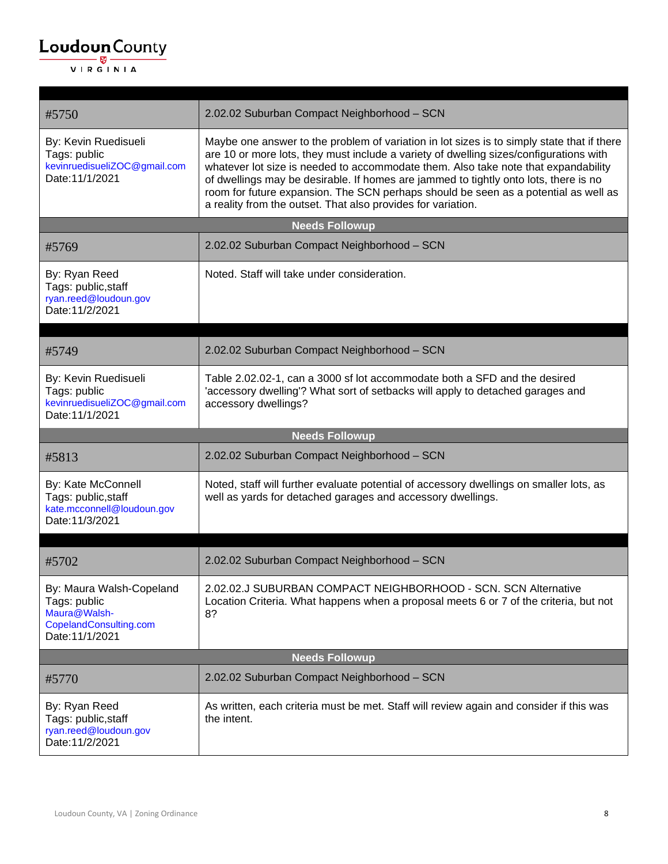| #5750                                                                                                 | 2.02.02 Suburban Compact Neighborhood - SCN                                                                                                                                                                                                                                                                                                                                                                                                                                                                               |  |
|-------------------------------------------------------------------------------------------------------|---------------------------------------------------------------------------------------------------------------------------------------------------------------------------------------------------------------------------------------------------------------------------------------------------------------------------------------------------------------------------------------------------------------------------------------------------------------------------------------------------------------------------|--|
| By: Kevin Ruedisueli<br>Tags: public<br>kevinruedisueliZOC@gmail.com<br>Date: 11/1/2021               | Maybe one answer to the problem of variation in lot sizes is to simply state that if there<br>are 10 or more lots, they must include a variety of dwelling sizes/configurations with<br>whatever lot size is needed to accommodate them. Also take note that expandability<br>of dwellings may be desirable. If homes are jammed to tightly onto lots, there is no<br>room for future expansion. The SCN perhaps should be seen as a potential as well as<br>a reality from the outset. That also provides for variation. |  |
| <b>Needs Followup</b>                                                                                 |                                                                                                                                                                                                                                                                                                                                                                                                                                                                                                                           |  |
| #5769                                                                                                 | 2.02.02 Suburban Compact Neighborhood - SCN                                                                                                                                                                                                                                                                                                                                                                                                                                                                               |  |
| By: Ryan Reed<br>Tags: public, staff<br>ryan.reed@loudoun.gov<br>Date: 11/2/2021                      | Noted. Staff will take under consideration.                                                                                                                                                                                                                                                                                                                                                                                                                                                                               |  |
|                                                                                                       |                                                                                                                                                                                                                                                                                                                                                                                                                                                                                                                           |  |
| #5749                                                                                                 | 2.02.02 Suburban Compact Neighborhood - SCN                                                                                                                                                                                                                                                                                                                                                                                                                                                                               |  |
| By: Kevin Ruedisueli<br>Tags: public<br>kevinruedisueliZOC@gmail.com<br>Date: 11/1/2021               | Table 2.02.02-1, can a 3000 sf lot accommodate both a SFD and the desired<br>'accessory dwelling'? What sort of setbacks will apply to detached garages and<br>accessory dwellings?                                                                                                                                                                                                                                                                                                                                       |  |
| <b>Needs Followup</b>                                                                                 |                                                                                                                                                                                                                                                                                                                                                                                                                                                                                                                           |  |
|                                                                                                       |                                                                                                                                                                                                                                                                                                                                                                                                                                                                                                                           |  |
| #5813                                                                                                 | 2.02.02 Suburban Compact Neighborhood - SCN                                                                                                                                                                                                                                                                                                                                                                                                                                                                               |  |
| By: Kate McConnell<br>Tags: public, staff<br>kate.mcconnell@loudoun.gov<br>Date: 11/3/2021            | Noted, staff will further evaluate potential of accessory dwellings on smaller lots, as<br>well as yards for detached garages and accessory dwellings.                                                                                                                                                                                                                                                                                                                                                                    |  |
|                                                                                                       |                                                                                                                                                                                                                                                                                                                                                                                                                                                                                                                           |  |
| #5702                                                                                                 | 2.02.02 Suburban Compact Neighborhood - SCN                                                                                                                                                                                                                                                                                                                                                                                                                                                                               |  |
| By: Maura Walsh-Copeland<br>Tags: public<br>Maura@Walsh-<br>CopelandConsulting.com<br>Date: 11/1/2021 | 2.02.02.J SUBURBAN COMPACT NEIGHBORHOOD - SCN. SCN Alternative<br>Location Criteria. What happens when a proposal meets 6 or 7 of the criteria, but not<br>8?                                                                                                                                                                                                                                                                                                                                                             |  |
|                                                                                                       | <b>Needs Followup</b>                                                                                                                                                                                                                                                                                                                                                                                                                                                                                                     |  |
| #5770                                                                                                 | 2.02.02 Suburban Compact Neighborhood - SCN                                                                                                                                                                                                                                                                                                                                                                                                                                                                               |  |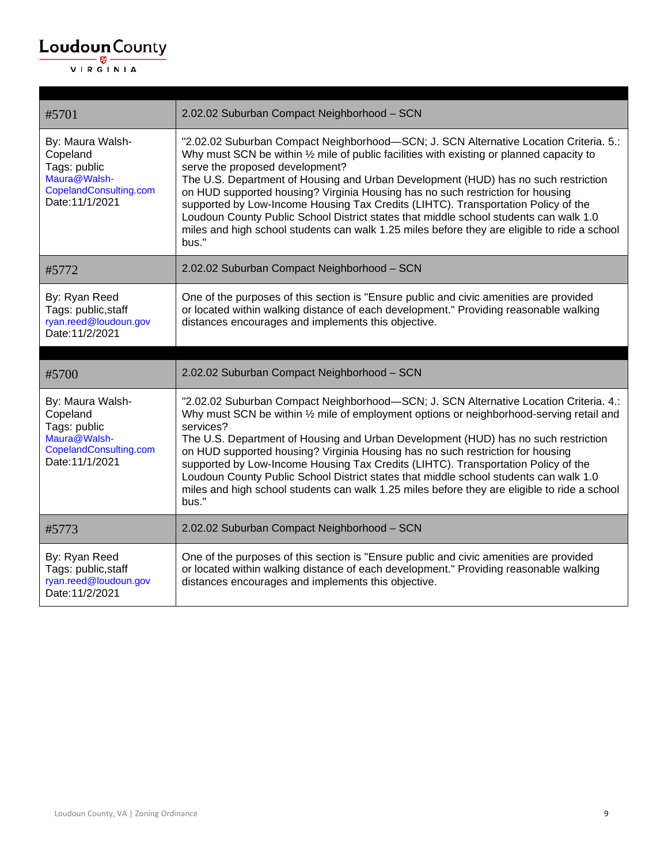| #5701                                                                                                     | 2.02.02 Suburban Compact Neighborhood - SCN                                                                                                                                                                                                                                                                                                                                                                                                                                                                                                                                                                                                                                          |
|-----------------------------------------------------------------------------------------------------------|--------------------------------------------------------------------------------------------------------------------------------------------------------------------------------------------------------------------------------------------------------------------------------------------------------------------------------------------------------------------------------------------------------------------------------------------------------------------------------------------------------------------------------------------------------------------------------------------------------------------------------------------------------------------------------------|
| By: Maura Walsh-<br>Copeland<br>Tags: public<br>Maura@Walsh-<br>CopelandConsulting.com<br>Date: 11/1/2021 | "2.02.02 Suburban Compact Neighborhood-SCN; J. SCN Alternative Location Criteria. 5.:<br>Why must SCN be within 1/2 mile of public facilities with existing or planned capacity to<br>serve the proposed development?<br>The U.S. Department of Housing and Urban Development (HUD) has no such restriction<br>on HUD supported housing? Virginia Housing has no such restriction for housing<br>supported by Low-Income Housing Tax Credits (LIHTC). Transportation Policy of the<br>Loudoun County Public School District states that middle school students can walk 1.0<br>miles and high school students can walk 1.25 miles before they are eligible to ride a school<br>bus." |
| #5772                                                                                                     | 2.02.02 Suburban Compact Neighborhood - SCN                                                                                                                                                                                                                                                                                                                                                                                                                                                                                                                                                                                                                                          |
| By: Ryan Reed<br>Tags: public, staff<br>ryan.reed@loudoun.gov<br>Date: 11/2/2021                          | One of the purposes of this section is "Ensure public and civic amenities are provided<br>or located within walking distance of each development." Providing reasonable walking<br>distances encourages and implements this objective.                                                                                                                                                                                                                                                                                                                                                                                                                                               |
|                                                                                                           |                                                                                                                                                                                                                                                                                                                                                                                                                                                                                                                                                                                                                                                                                      |
|                                                                                                           |                                                                                                                                                                                                                                                                                                                                                                                                                                                                                                                                                                                                                                                                                      |
| #5700                                                                                                     | 2.02.02 Suburban Compact Neighborhood - SCN                                                                                                                                                                                                                                                                                                                                                                                                                                                                                                                                                                                                                                          |
| By: Maura Walsh-<br>Copeland<br>Tags: public<br>Maura@Walsh-<br>CopelandConsulting.com<br>Date: 11/1/2021 | "2.02.02 Suburban Compact Neighborhood-SCN; J. SCN Alternative Location Criteria. 4.:<br>Why must SCN be within 1/2 mile of employment options or neighborhood-serving retail and<br>services?<br>The U.S. Department of Housing and Urban Development (HUD) has no such restriction<br>on HUD supported housing? Virginia Housing has no such restriction for housing<br>supported by Low-Income Housing Tax Credits (LIHTC). Transportation Policy of the<br>Loudoun County Public School District states that middle school students can walk 1.0<br>miles and high school students can walk 1.25 miles before they are eligible to ride a school<br>bus."                        |
| #5773                                                                                                     | 2.02.02 Suburban Compact Neighborhood - SCN                                                                                                                                                                                                                                                                                                                                                                                                                                                                                                                                                                                                                                          |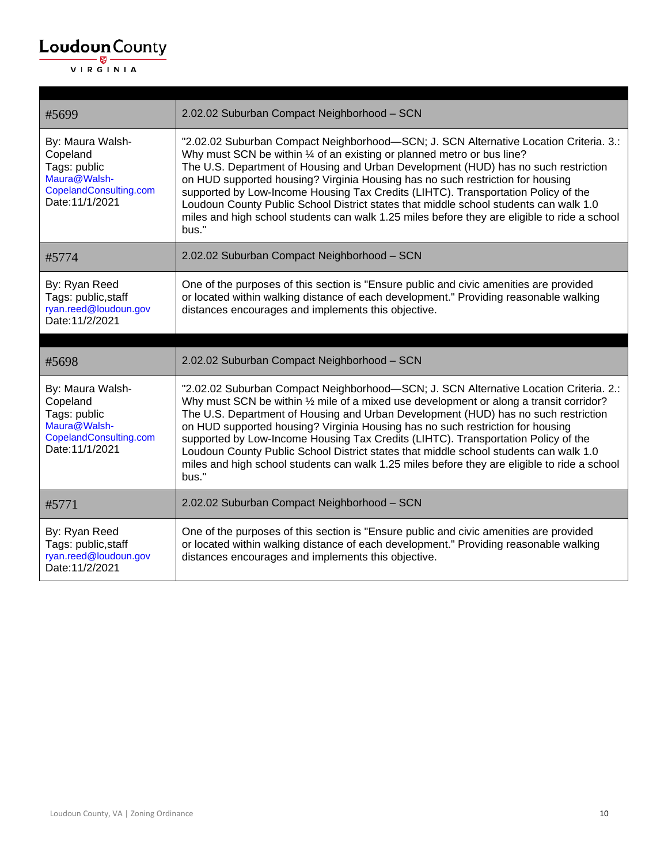| #5699                                                                                                     | 2.02.02 Suburban Compact Neighborhood - SCN                                                                                                                                                                                                                                                                                                                                                                                                                                                                                                                                                                                                     |
|-----------------------------------------------------------------------------------------------------------|-------------------------------------------------------------------------------------------------------------------------------------------------------------------------------------------------------------------------------------------------------------------------------------------------------------------------------------------------------------------------------------------------------------------------------------------------------------------------------------------------------------------------------------------------------------------------------------------------------------------------------------------------|
| By: Maura Walsh-<br>Copeland<br>Tags: public<br>Maura@Walsh-<br>CopelandConsulting.com<br>Date: 11/1/2021 | "2.02.02 Suburban Compact Neighborhood-SCN; J. SCN Alternative Location Criteria. 3.:<br>Why must SCN be within 1/4 of an existing or planned metro or bus line?<br>The U.S. Department of Housing and Urban Development (HUD) has no such restriction<br>on HUD supported housing? Virginia Housing has no such restriction for housing<br>supported by Low-Income Housing Tax Credits (LIHTC). Transportation Policy of the<br>Loudoun County Public School District states that middle school students can walk 1.0<br>miles and high school students can walk 1.25 miles before they are eligible to ride a school<br>bus."                 |
| #5774                                                                                                     | 2.02.02 Suburban Compact Neighborhood - SCN                                                                                                                                                                                                                                                                                                                                                                                                                                                                                                                                                                                                     |
| By: Ryan Reed<br>Tags: public, staff<br>ryan.reed@loudoun.gov<br>Date: 11/2/2021                          | One of the purposes of this section is "Ensure public and civic amenities are provided<br>or located within walking distance of each development." Providing reasonable walking<br>distances encourages and implements this objective.                                                                                                                                                                                                                                                                                                                                                                                                          |
|                                                                                                           |                                                                                                                                                                                                                                                                                                                                                                                                                                                                                                                                                                                                                                                 |
|                                                                                                           |                                                                                                                                                                                                                                                                                                                                                                                                                                                                                                                                                                                                                                                 |
| #5698                                                                                                     | 2.02.02 Suburban Compact Neighborhood - SCN                                                                                                                                                                                                                                                                                                                                                                                                                                                                                                                                                                                                     |
| By: Maura Walsh-<br>Copeland<br>Tags: public<br>Maura@Walsh-<br>CopelandConsulting.com<br>Date: 11/1/2021 | "2.02.02 Suburban Compact Neighborhood-SCN; J. SCN Alternative Location Criteria. 2.:<br>Why must SCN be within 1/2 mile of a mixed use development or along a transit corridor?<br>The U.S. Department of Housing and Urban Development (HUD) has no such restriction<br>on HUD supported housing? Virginia Housing has no such restriction for housing<br>supported by Low-Income Housing Tax Credits (LIHTC). Transportation Policy of the<br>Loudoun County Public School District states that middle school students can walk 1.0<br>miles and high school students can walk 1.25 miles before they are eligible to ride a school<br>bus." |
| #5771                                                                                                     | 2.02.02 Suburban Compact Neighborhood - SCN                                                                                                                                                                                                                                                                                                                                                                                                                                                                                                                                                                                                     |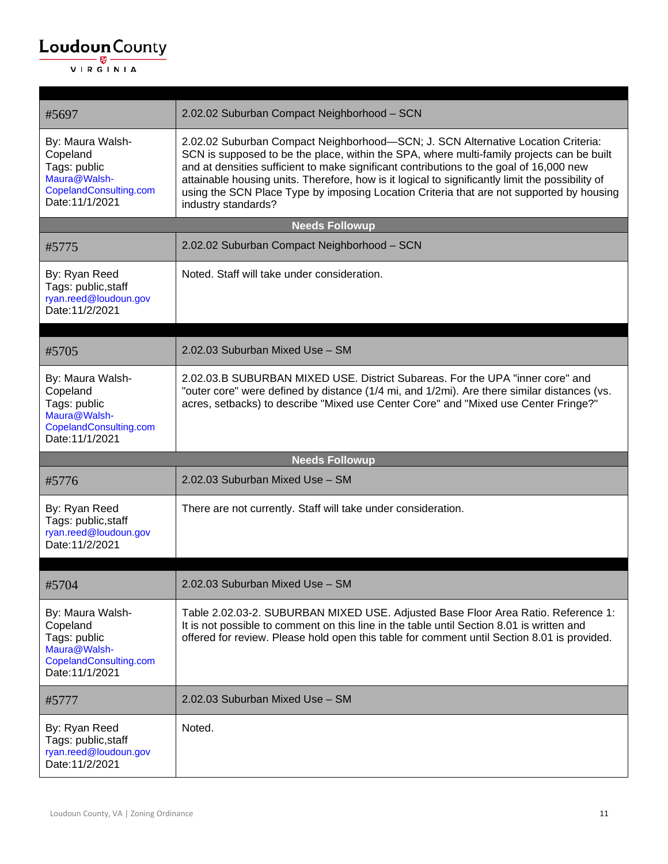| #5697                                                                                                     | 2.02.02 Suburban Compact Neighborhood - SCN                                                                                                                                                                                                                                                                                                                                                                                                                                                     |
|-----------------------------------------------------------------------------------------------------------|-------------------------------------------------------------------------------------------------------------------------------------------------------------------------------------------------------------------------------------------------------------------------------------------------------------------------------------------------------------------------------------------------------------------------------------------------------------------------------------------------|
| By: Maura Walsh-<br>Copeland<br>Tags: public<br>Maura@Walsh-<br>CopelandConsulting.com<br>Date: 11/1/2021 | 2.02.02 Suburban Compact Neighborhood-SCN; J. SCN Alternative Location Criteria:<br>SCN is supposed to be the place, within the SPA, where multi-family projects can be built<br>and at densities sufficient to make significant contributions to the goal of 16,000 new<br>attainable housing units. Therefore, how is it logical to significantly limit the possibility of<br>using the SCN Place Type by imposing Location Criteria that are not supported by housing<br>industry standards? |
|                                                                                                           | <b>Needs Followup</b>                                                                                                                                                                                                                                                                                                                                                                                                                                                                           |
| #5775                                                                                                     | 2.02.02 Suburban Compact Neighborhood - SCN                                                                                                                                                                                                                                                                                                                                                                                                                                                     |
| By: Ryan Reed<br>Tags: public, staff<br>ryan.reed@loudoun.gov<br>Date: 11/2/2021                          | Noted. Staff will take under consideration.                                                                                                                                                                                                                                                                                                                                                                                                                                                     |
| #5705                                                                                                     | 2.02.03 Suburban Mixed Use - SM                                                                                                                                                                                                                                                                                                                                                                                                                                                                 |
| By: Maura Walsh-<br>Copeland<br>Tags: public<br>Maura@Walsh-<br>CopelandConsulting.com<br>Date: 11/1/2021 | 2.02.03.B SUBURBAN MIXED USE. District Subareas. For the UPA "inner core" and<br>"outer core" were defined by distance (1/4 mi, and 1/2mi). Are there similar distances (vs.<br>acres, setbacks) to describe "Mixed use Center Core" and "Mixed use Center Fringe?"                                                                                                                                                                                                                             |
|                                                                                                           | <b>Needs Followup</b>                                                                                                                                                                                                                                                                                                                                                                                                                                                                           |
| #5776                                                                                                     | 2.02.03 Suburban Mixed Use - SM                                                                                                                                                                                                                                                                                                                                                                                                                                                                 |
| By: Ryan Reed<br>Tags: public, staff<br>ryan.reed@loudoun.gov<br>Date: 11/2/2021                          | There are not currently. Staff will take under consideration.                                                                                                                                                                                                                                                                                                                                                                                                                                   |
|                                                                                                           |                                                                                                                                                                                                                                                                                                                                                                                                                                                                                                 |
| #5704                                                                                                     | 2.02.03 Suburban Mixed Use - SM                                                                                                                                                                                                                                                                                                                                                                                                                                                                 |
| By: Maura Walsh-<br>Copeland<br>Tags: public<br>Maura@Walsh-<br>CopelandConsulting.com<br>Date: 11/1/2021 | Table 2.02.03-2. SUBURBAN MIXED USE. Adjusted Base Floor Area Ratio. Reference 1:<br>It is not possible to comment on this line in the table until Section 8.01 is written and<br>offered for review. Please hold open this table for comment until Section 8.01 is provided.                                                                                                                                                                                                                   |
| #5777                                                                                                     | 2.02.03 Suburban Mixed Use - SM                                                                                                                                                                                                                                                                                                                                                                                                                                                                 |
| By: Ryan Reed<br>Tags: public, staff<br>ryan.reed@loudoun.gov<br>Date: 11/2/2021                          | Noted.                                                                                                                                                                                                                                                                                                                                                                                                                                                                                          |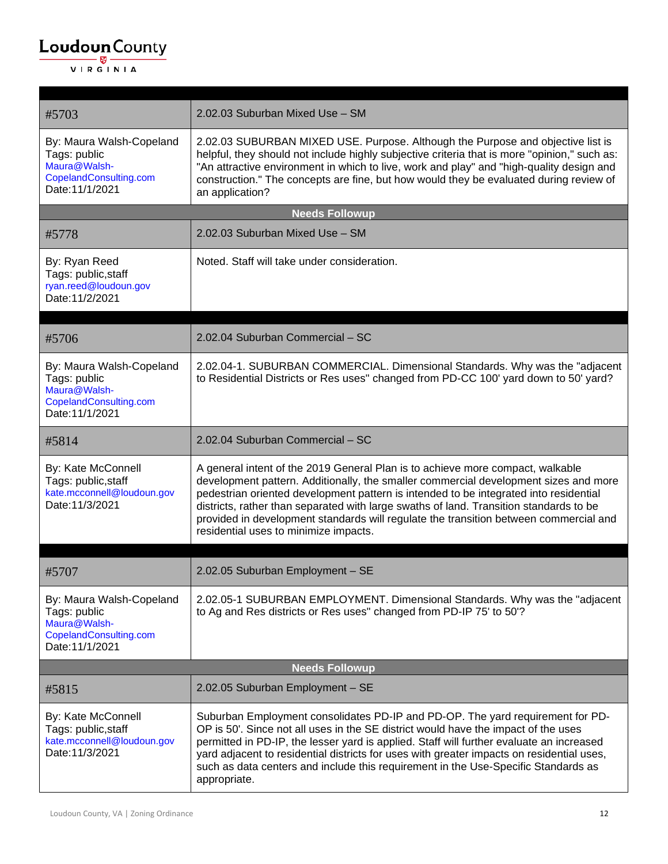| #5703                                                                                                 | 2.02.03 Suburban Mixed Use - SM                                                                                                                                                                                                                                                                                                                                                                                                                                                             |
|-------------------------------------------------------------------------------------------------------|---------------------------------------------------------------------------------------------------------------------------------------------------------------------------------------------------------------------------------------------------------------------------------------------------------------------------------------------------------------------------------------------------------------------------------------------------------------------------------------------|
| By: Maura Walsh-Copeland<br>Tags: public<br>Maura@Walsh-<br>CopelandConsulting.com<br>Date: 11/1/2021 | 2.02.03 SUBURBAN MIXED USE. Purpose. Although the Purpose and objective list is<br>helpful, they should not include highly subjective criteria that is more "opinion," such as:<br>"An attractive environment in which to live, work and play" and "high-quality design and<br>construction." The concepts are fine, but how would they be evaluated during review of<br>an application?                                                                                                    |
|                                                                                                       | <b>Needs Followup</b>                                                                                                                                                                                                                                                                                                                                                                                                                                                                       |
| #5778                                                                                                 | 2.02.03 Suburban Mixed Use - SM                                                                                                                                                                                                                                                                                                                                                                                                                                                             |
| By: Ryan Reed<br>Tags: public, staff<br>ryan.reed@loudoun.gov<br>Date: 11/2/2021                      | Noted. Staff will take under consideration.                                                                                                                                                                                                                                                                                                                                                                                                                                                 |
| #5706                                                                                                 | 2.02.04 Suburban Commercial - SC                                                                                                                                                                                                                                                                                                                                                                                                                                                            |
| By: Maura Walsh-Copeland<br>Tags: public<br>Maura@Walsh-<br>CopelandConsulting.com<br>Date: 11/1/2021 | 2.02.04-1. SUBURBAN COMMERCIAL. Dimensional Standards. Why was the "adjacent"<br>to Residential Districts or Res uses" changed from PD-CC 100' yard down to 50' yard?                                                                                                                                                                                                                                                                                                                       |
| #5814                                                                                                 | 2.02.04 Suburban Commercial - SC                                                                                                                                                                                                                                                                                                                                                                                                                                                            |
| By: Kate McConnell<br>Tags: public, staff<br>kate.mcconnell@loudoun.gov<br>Date: 11/3/2021            | A general intent of the 2019 General Plan is to achieve more compact, walkable<br>development pattern. Additionally, the smaller commercial development sizes and more<br>pedestrian oriented development pattern is intended to be integrated into residential<br>districts, rather than separated with large swaths of land. Transition standards to be<br>provided in development standards will regulate the transition between commercial and<br>residential uses to minimize impacts. |
| #5707                                                                                                 | 2.02.05 Suburban Employment - SE                                                                                                                                                                                                                                                                                                                                                                                                                                                            |
| By: Maura Walsh-Copeland<br>Tags: public<br>Maura@Walsh-<br>CopelandConsulting.com<br>Date: 11/1/2021 | 2.02.05-1 SUBURBAN EMPLOYMENT. Dimensional Standards. Why was the "adjacent"<br>to Ag and Res districts or Res uses" changed from PD-IP 75' to 50'?                                                                                                                                                                                                                                                                                                                                         |
| <b>Needs Followup</b>                                                                                 |                                                                                                                                                                                                                                                                                                                                                                                                                                                                                             |
| #5815                                                                                                 | 2.02.05 Suburban Employment - SE                                                                                                                                                                                                                                                                                                                                                                                                                                                            |
| By: Kate McConnell<br>Tags: public, staff<br>kate.mcconnell@loudoun.gov<br>Date: 11/3/2021            | Suburban Employment consolidates PD-IP and PD-OP. The yard requirement for PD-<br>OP is 50'. Since not all uses in the SE district would have the impact of the uses<br>permitted in PD-IP, the lesser yard is applied. Staff will further evaluate an increased<br>yard adjacent to residential districts for uses with greater impacts on residential uses,<br>such as data centers and include this requirement in the Use-Specific Standards as<br>appropriate.                         |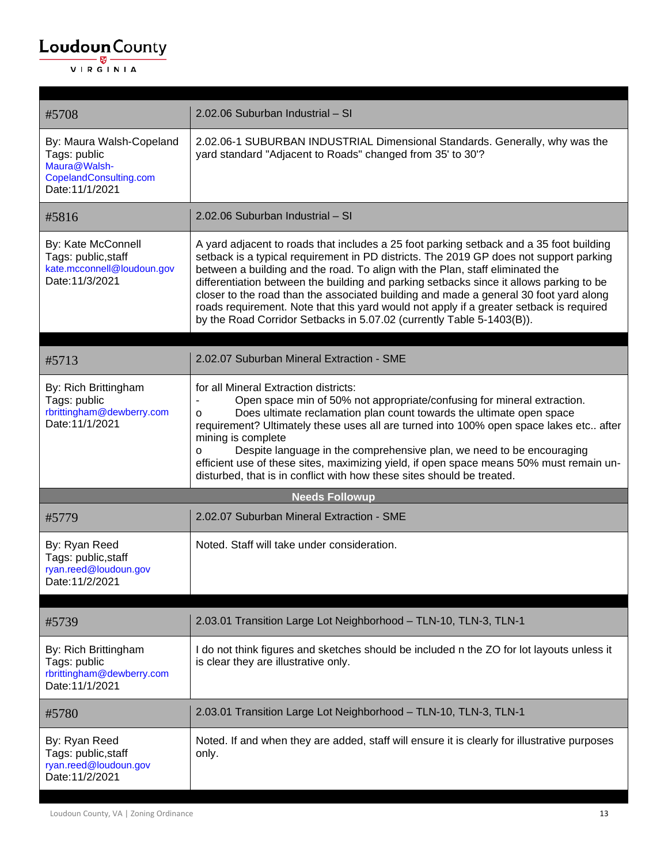#### $\underbrace{\textbf{Loudoun}\xspace}_{\text{VIR GINIA}}$

| #5708                                                                                                 | 2.02.06 Suburban Industrial - SI                                                                                                                                                                                                                                                                                                                                                                                                                                                                                                                                                                                           |
|-------------------------------------------------------------------------------------------------------|----------------------------------------------------------------------------------------------------------------------------------------------------------------------------------------------------------------------------------------------------------------------------------------------------------------------------------------------------------------------------------------------------------------------------------------------------------------------------------------------------------------------------------------------------------------------------------------------------------------------------|
| By: Maura Walsh-Copeland<br>Tags: public<br>Maura@Walsh-<br>CopelandConsulting.com<br>Date: 11/1/2021 | 2.02.06-1 SUBURBAN INDUSTRIAL Dimensional Standards. Generally, why was the<br>yard standard "Adjacent to Roads" changed from 35' to 30'?                                                                                                                                                                                                                                                                                                                                                                                                                                                                                  |
| #5816                                                                                                 | 2.02.06 Suburban Industrial - SI                                                                                                                                                                                                                                                                                                                                                                                                                                                                                                                                                                                           |
| By: Kate McConnell<br>Tags: public, staff<br>kate.mcconnell@loudoun.gov<br>Date: 11/3/2021            | A yard adjacent to roads that includes a 25 foot parking setback and a 35 foot building<br>setback is a typical requirement in PD districts. The 2019 GP does not support parking<br>between a building and the road. To align with the Plan, staff eliminated the<br>differentiation between the building and parking setbacks since it allows parking to be<br>closer to the road than the associated building and made a general 30 foot yard along<br>roads requirement. Note that this yard would not apply if a greater setback is required<br>by the Road Corridor Setbacks in 5.07.02 (currently Table 5-1403(B)). |
| #5713                                                                                                 | 2.02.07 Suburban Mineral Extraction - SME                                                                                                                                                                                                                                                                                                                                                                                                                                                                                                                                                                                  |
| By: Rich Brittingham<br>Tags: public<br>rbrittingham@dewberry.com<br>Date: 11/1/2021                  | for all Mineral Extraction districts:<br>Open space min of 50% not appropriate/confusing for mineral extraction.<br>Does ultimate reclamation plan count towards the ultimate open space<br>O<br>requirement? Ultimately these uses all are turned into 100% open space lakes etc after<br>mining is complete<br>Despite language in the comprehensive plan, we need to be encouraging<br>O<br>efficient use of these sites, maximizing yield, if open space means 50% must remain un-<br>disturbed, that is in conflict with how these sites should be treated.                                                           |
|                                                                                                       | <b>Needs Followup</b>                                                                                                                                                                                                                                                                                                                                                                                                                                                                                                                                                                                                      |
| #5779                                                                                                 | 2.02.07 Suburban Mineral Extraction - SME                                                                                                                                                                                                                                                                                                                                                                                                                                                                                                                                                                                  |
| By: Ryan Reed<br>Tags: public, staff<br>ryan.reed@loudoun.gov<br>Date: 11/2/2021                      | Noted. Staff will take under consideration.                                                                                                                                                                                                                                                                                                                                                                                                                                                                                                                                                                                |
| #5739                                                                                                 | 2.03.01 Transition Large Lot Neighborhood - TLN-10, TLN-3, TLN-1                                                                                                                                                                                                                                                                                                                                                                                                                                                                                                                                                           |
| By: Rich Brittingham<br>Tags: public<br>rbrittingham@dewberry.com<br>Date: 11/1/2021                  | I do not think figures and sketches should be included n the ZO for lot layouts unless it<br>is clear they are illustrative only.                                                                                                                                                                                                                                                                                                                                                                                                                                                                                          |
| #5780                                                                                                 | 2.03.01 Transition Large Lot Neighborhood - TLN-10, TLN-3, TLN-1                                                                                                                                                                                                                                                                                                                                                                                                                                                                                                                                                           |
| By: Ryan Reed<br>Tags: public, staff<br>ryan.reed@loudoun.gov<br>Date: 11/2/2021                      | Noted. If and when they are added, staff will ensure it is clearly for illustrative purposes<br>only.                                                                                                                                                                                                                                                                                                                                                                                                                                                                                                                      |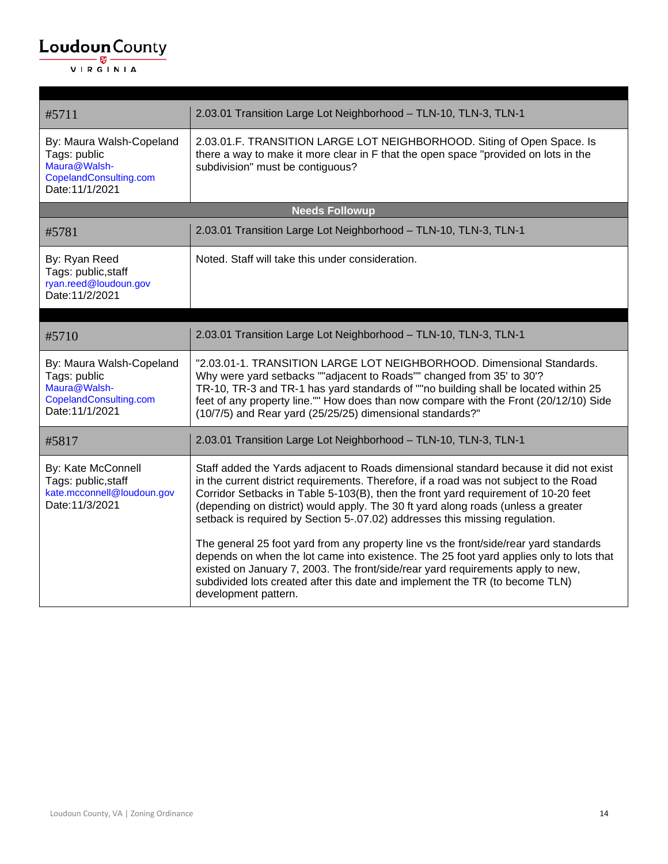| #5711                                                                                                 | 2.03.01 Transition Large Lot Neighborhood - TLN-10, TLN-3, TLN-1                                                                                                                                                                                                                                                                                                                                                                                                                                                                                                                                                                                                                                                                                                                                 |
|-------------------------------------------------------------------------------------------------------|--------------------------------------------------------------------------------------------------------------------------------------------------------------------------------------------------------------------------------------------------------------------------------------------------------------------------------------------------------------------------------------------------------------------------------------------------------------------------------------------------------------------------------------------------------------------------------------------------------------------------------------------------------------------------------------------------------------------------------------------------------------------------------------------------|
| By: Maura Walsh-Copeland<br>Tags: public<br>Maura@Walsh-<br>CopelandConsulting.com<br>Date: 11/1/2021 | 2.03.01.F. TRANSITION LARGE LOT NEIGHBORHOOD. Siting of Open Space. Is<br>there a way to make it more clear in F that the open space "provided on lots in the<br>subdivision" must be contiguous?                                                                                                                                                                                                                                                                                                                                                                                                                                                                                                                                                                                                |
|                                                                                                       | <b>Needs Followup</b>                                                                                                                                                                                                                                                                                                                                                                                                                                                                                                                                                                                                                                                                                                                                                                            |
| #5781                                                                                                 | 2.03.01 Transition Large Lot Neighborhood - TLN-10, TLN-3, TLN-1                                                                                                                                                                                                                                                                                                                                                                                                                                                                                                                                                                                                                                                                                                                                 |
| By: Ryan Reed<br>Tags: public, staff<br>ryan.reed@loudoun.gov<br>Date: 11/2/2021                      | Noted. Staff will take this under consideration.                                                                                                                                                                                                                                                                                                                                                                                                                                                                                                                                                                                                                                                                                                                                                 |
| #5710                                                                                                 | 2.03.01 Transition Large Lot Neighborhood - TLN-10, TLN-3, TLN-1                                                                                                                                                                                                                                                                                                                                                                                                                                                                                                                                                                                                                                                                                                                                 |
| By: Maura Walsh-Copeland<br>Tags: public<br>Maura@Walsh-<br>CopelandConsulting.com<br>Date: 11/1/2021 | "2.03.01-1. TRANSITION LARGE LOT NEIGHBORHOOD. Dimensional Standards.<br>Why were yard setbacks ""adjacent to Roads"" changed from 35' to 30'?<br>TR-10, TR-3 and TR-1 has yard standards of ""no building shall be located within 25<br>feet of any property line."" How does than now compare with the Front (20/12/10) Side<br>(10/7/5) and Rear yard (25/25/25) dimensional standards?"                                                                                                                                                                                                                                                                                                                                                                                                      |
| #5817                                                                                                 | 2.03.01 Transition Large Lot Neighborhood - TLN-10, TLN-3, TLN-1                                                                                                                                                                                                                                                                                                                                                                                                                                                                                                                                                                                                                                                                                                                                 |
| By: Kate McConnell<br>Tags: public, staff<br>kate.mcconnell@loudoun.gov<br>Date: 11/3/2021            | Staff added the Yards adjacent to Roads dimensional standard because it did not exist<br>in the current district requirements. Therefore, if a road was not subject to the Road<br>Corridor Setbacks in Table 5-103(B), then the front yard requirement of 10-20 feet<br>(depending on district) would apply. The 30 ft yard along roads (unless a greater<br>setback is required by Section 5-.07.02) addresses this missing regulation.<br>The general 25 foot yard from any property line vs the front/side/rear yard standards<br>depends on when the lot came into existence. The 25 foot yard applies only to lots that<br>existed on January 7, 2003. The front/side/rear yard requirements apply to new,<br>subdivided lots created after this date and implement the TR (to become TLN) |
|                                                                                                       | development pattern.                                                                                                                                                                                                                                                                                                                                                                                                                                                                                                                                                                                                                                                                                                                                                                             |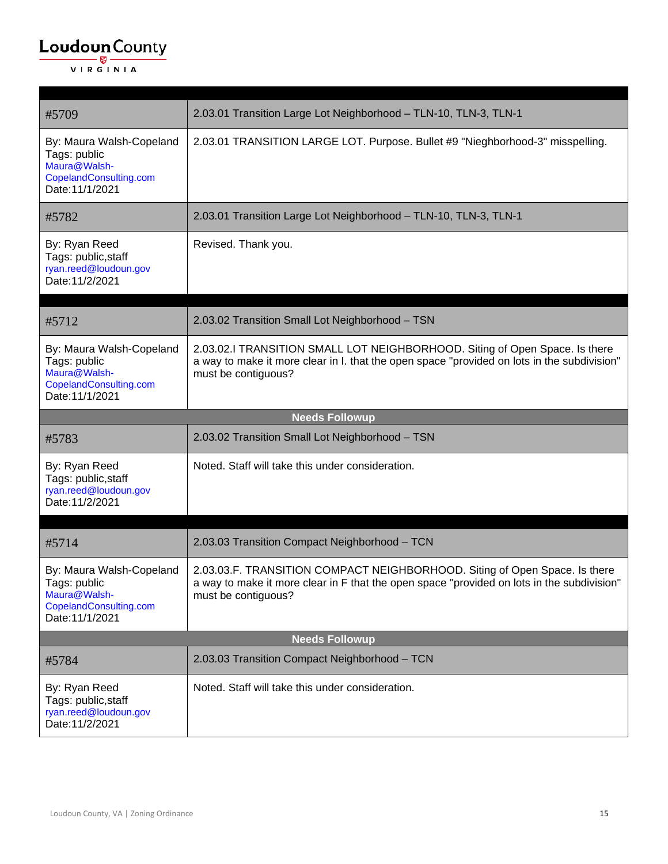| #5709                                                                                                 | 2.03.01 Transition Large Lot Neighborhood - TLN-10, TLN-3, TLN-1                                                                                                                                  |
|-------------------------------------------------------------------------------------------------------|---------------------------------------------------------------------------------------------------------------------------------------------------------------------------------------------------|
| By: Maura Walsh-Copeland<br>Tags: public<br>Maura@Walsh-<br>CopelandConsulting.com<br>Date: 11/1/2021 | 2.03.01 TRANSITION LARGE LOT. Purpose. Bullet #9 "Nieghborhood-3" misspelling.                                                                                                                    |
| #5782                                                                                                 | 2.03.01 Transition Large Lot Neighborhood - TLN-10, TLN-3, TLN-1                                                                                                                                  |
| By: Ryan Reed<br>Tags: public, staff<br>ryan.reed@loudoun.gov<br>Date: 11/2/2021                      | Revised. Thank you.                                                                                                                                                                               |
| #5712                                                                                                 | 2.03.02 Transition Small Lot Neighborhood - TSN                                                                                                                                                   |
| By: Maura Walsh-Copeland<br>Tags: public<br>Maura@Walsh-<br>CopelandConsulting.com<br>Date: 11/1/2021 | 2.03.02.I TRANSITION SMALL LOT NEIGHBORHOOD. Siting of Open Space. Is there<br>a way to make it more clear in I. that the open space "provided on lots in the subdivision"<br>must be contiguous? |
|                                                                                                       | <b>Needs Followup</b>                                                                                                                                                                             |
| #5783                                                                                                 | 2.03.02 Transition Small Lot Neighborhood - TSN                                                                                                                                                   |
|                                                                                                       |                                                                                                                                                                                                   |
| By: Ryan Reed<br>Tags: public, staff<br>ryan.reed@loudoun.gov<br>Date: 11/2/2021                      | Noted. Staff will take this under consideration.                                                                                                                                                  |
| #5714                                                                                                 | 2.03.03 Transition Compact Neighborhood - TCN                                                                                                                                                     |
| By: Maura Walsh-Copeland<br>Tags: public<br>Maura@Walsh-<br>CopelandConsulting.com<br>Date: 11/1/2021 | 2.03.03.F. TRANSITION COMPACT NEIGHBORHOOD. Siting of Open Space. Is there<br>a way to make it more clear in F that the open space "provided on lots in the subdivision"<br>must be contiguous?   |
|                                                                                                       | <b>Needs Followup</b>                                                                                                                                                                             |
| #5784                                                                                                 | 2.03.03 Transition Compact Neighborhood - TCN                                                                                                                                                     |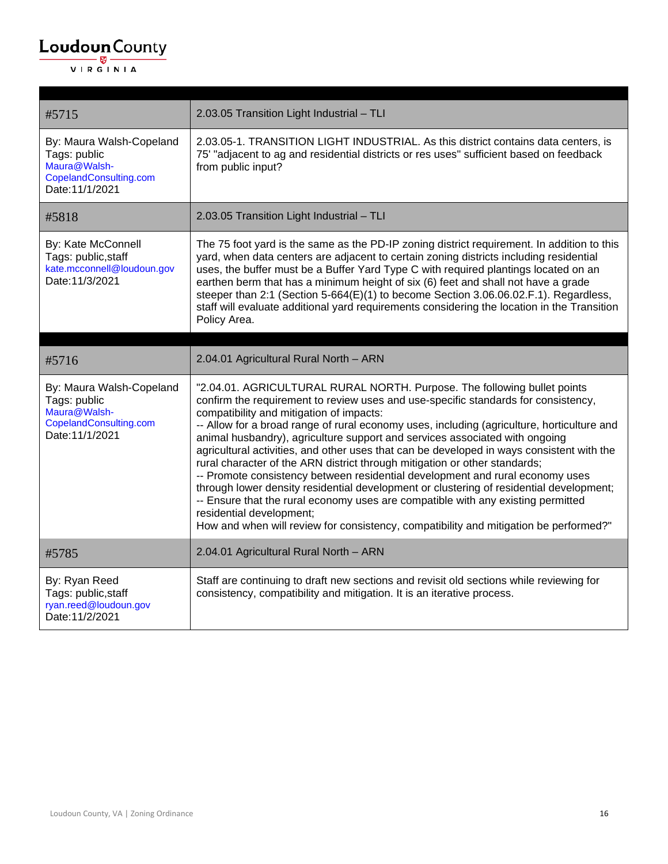| #5715                                                                                                 | 2.03.05 Transition Light Industrial - TLI                                                                                                                                                                                                                                                                                                                                                                                                                                                                                                                                                                                                                                                                                                                                                                                                                                                                                                               |
|-------------------------------------------------------------------------------------------------------|---------------------------------------------------------------------------------------------------------------------------------------------------------------------------------------------------------------------------------------------------------------------------------------------------------------------------------------------------------------------------------------------------------------------------------------------------------------------------------------------------------------------------------------------------------------------------------------------------------------------------------------------------------------------------------------------------------------------------------------------------------------------------------------------------------------------------------------------------------------------------------------------------------------------------------------------------------|
| By: Maura Walsh-Copeland<br>Tags: public<br>Maura@Walsh-<br>CopelandConsulting.com<br>Date: 11/1/2021 | 2.03.05-1. TRANSITION LIGHT INDUSTRIAL. As this district contains data centers, is<br>75' "adjacent to ag and residential districts or res uses" sufficient based on feedback<br>from public input?                                                                                                                                                                                                                                                                                                                                                                                                                                                                                                                                                                                                                                                                                                                                                     |
| #5818                                                                                                 | 2.03.05 Transition Light Industrial - TLI                                                                                                                                                                                                                                                                                                                                                                                                                                                                                                                                                                                                                                                                                                                                                                                                                                                                                                               |
| By: Kate McConnell<br>Tags: public, staff<br>kate.mcconnell@loudoun.gov<br>Date: 11/3/2021            | The 75 foot yard is the same as the PD-IP zoning district requirement. In addition to this<br>yard, when data centers are adjacent to certain zoning districts including residential<br>uses, the buffer must be a Buffer Yard Type C with required plantings located on an<br>earthen berm that has a minimum height of six (6) feet and shall not have a grade<br>steeper than 2:1 (Section 5-664(E)(1) to become Section 3.06.06.02.F.1). Regardless,<br>staff will evaluate additional yard requirements considering the location in the Transition<br>Policy Area.                                                                                                                                                                                                                                                                                                                                                                                 |
|                                                                                                       |                                                                                                                                                                                                                                                                                                                                                                                                                                                                                                                                                                                                                                                                                                                                                                                                                                                                                                                                                         |
| #5716                                                                                                 | 2.04.01 Agricultural Rural North - ARN                                                                                                                                                                                                                                                                                                                                                                                                                                                                                                                                                                                                                                                                                                                                                                                                                                                                                                                  |
| By: Maura Walsh-Copeland<br>Tags: public<br>Maura@Walsh-<br>CopelandConsulting.com<br>Date: 11/1/2021 | "2.04.01. AGRICULTURAL RURAL NORTH. Purpose. The following bullet points<br>confirm the requirement to review uses and use-specific standards for consistency,<br>compatibility and mitigation of impacts:<br>-- Allow for a broad range of rural economy uses, including (agriculture, horticulture and<br>animal husbandry), agriculture support and services associated with ongoing<br>agricultural activities, and other uses that can be developed in ways consistent with the<br>rural character of the ARN district through mitigation or other standards;<br>-- Promote consistency between residential development and rural economy uses<br>through lower density residential development or clustering of residential development;<br>-- Ensure that the rural economy uses are compatible with any existing permitted<br>residential development;<br>How and when will review for consistency, compatibility and mitigation be performed?" |
| #5785                                                                                                 | 2.04.01 Agricultural Rural North - ARN                                                                                                                                                                                                                                                                                                                                                                                                                                                                                                                                                                                                                                                                                                                                                                                                                                                                                                                  |
| By: Ryan Reed<br>Tags: public, staff<br>ryan.reed@loudoun.gov<br>Date: 11/2/2021                      | Staff are continuing to draft new sections and revisit old sections while reviewing for<br>consistency, compatibility and mitigation. It is an iterative process.                                                                                                                                                                                                                                                                                                                                                                                                                                                                                                                                                                                                                                                                                                                                                                                       |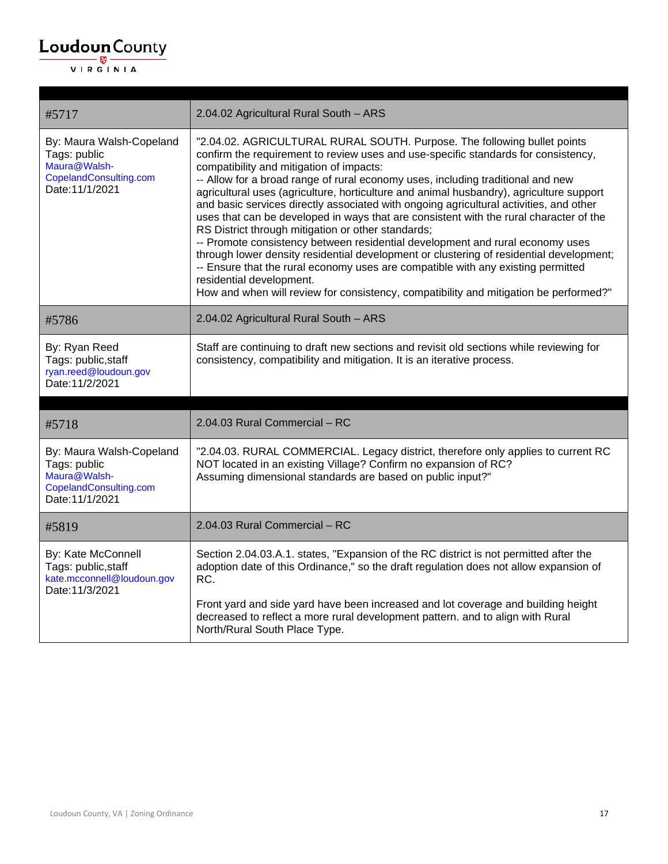| #5717                                                                                                 | 2.04.02 Agricultural Rural South - ARS                                                                                                                                                                                                                                                                                                                                                                                                                                                                                                                                                                                                                                                                                                                                                                                                                                                                                                                                                                                  |
|-------------------------------------------------------------------------------------------------------|-------------------------------------------------------------------------------------------------------------------------------------------------------------------------------------------------------------------------------------------------------------------------------------------------------------------------------------------------------------------------------------------------------------------------------------------------------------------------------------------------------------------------------------------------------------------------------------------------------------------------------------------------------------------------------------------------------------------------------------------------------------------------------------------------------------------------------------------------------------------------------------------------------------------------------------------------------------------------------------------------------------------------|
| By: Maura Walsh-Copeland<br>Tags: public<br>Maura@Walsh-<br>CopelandConsulting.com<br>Date: 11/1/2021 | "2.04.02. AGRICULTURAL RURAL SOUTH. Purpose. The following bullet points<br>confirm the requirement to review uses and use-specific standards for consistency,<br>compatibility and mitigation of impacts:<br>-- Allow for a broad range of rural economy uses, including traditional and new<br>agricultural uses (agriculture, horticulture and animal husbandry), agriculture support<br>and basic services directly associated with ongoing agricultural activities, and other<br>uses that can be developed in ways that are consistent with the rural character of the<br>RS District through mitigation or other standards;<br>-- Promote consistency between residential development and rural economy uses<br>through lower density residential development or clustering of residential development;<br>-- Ensure that the rural economy uses are compatible with any existing permitted<br>residential development.<br>How and when will review for consistency, compatibility and mitigation be performed?" |
| #5786                                                                                                 | 2.04.02 Agricultural Rural South - ARS                                                                                                                                                                                                                                                                                                                                                                                                                                                                                                                                                                                                                                                                                                                                                                                                                                                                                                                                                                                  |
| By: Ryan Reed<br>Tags: public, staff<br>ryan.reed@loudoun.gov<br>Date: 11/2/2021                      | Staff are continuing to draft new sections and revisit old sections while reviewing for<br>consistency, compatibility and mitigation. It is an iterative process.                                                                                                                                                                                                                                                                                                                                                                                                                                                                                                                                                                                                                                                                                                                                                                                                                                                       |
|                                                                                                       |                                                                                                                                                                                                                                                                                                                                                                                                                                                                                                                                                                                                                                                                                                                                                                                                                                                                                                                                                                                                                         |
| #5718                                                                                                 | 2.04.03 Rural Commercial - RC                                                                                                                                                                                                                                                                                                                                                                                                                                                                                                                                                                                                                                                                                                                                                                                                                                                                                                                                                                                           |
| By: Maura Walsh-Copeland<br>Tags: public<br>Maura@Walsh-<br>CopelandConsulting.com<br>Date: 11/1/2021 | "2.04.03. RURAL COMMERCIAL. Legacy district, therefore only applies to current RC<br>NOT located in an existing Village? Confirm no expansion of RC?<br>Assuming dimensional standards are based on public input?"                                                                                                                                                                                                                                                                                                                                                                                                                                                                                                                                                                                                                                                                                                                                                                                                      |
| #5819                                                                                                 | 2.04.03 Rural Commercial - RC                                                                                                                                                                                                                                                                                                                                                                                                                                                                                                                                                                                                                                                                                                                                                                                                                                                                                                                                                                                           |
| By: Kate McConnell<br>Tags: public, staff<br>kate.mcconnell@loudoun.gov<br>Date: 11/3/2021            | Section 2.04.03.A.1. states, "Expansion of the RC district is not permitted after the<br>adoption date of this Ordinance," so the draft regulation does not allow expansion of<br>RC.<br>Front yard and side yard have been increased and lot coverage and building height<br>decreased to reflect a more rural development pattern. and to align with Rural<br>North/Rural South Place Type.                                                                                                                                                                                                                                                                                                                                                                                                                                                                                                                                                                                                                           |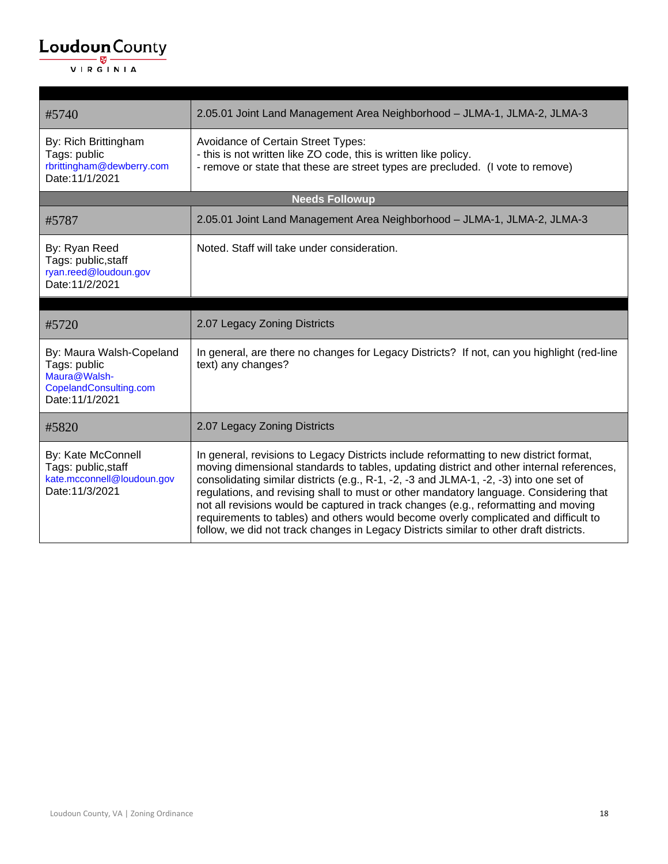| #5740                                                                                                 | 2.05.01 Joint Land Management Area Neighborhood - JLMA-1, JLMA-2, JLMA-3                                                                                                                                                                                                                                                                                                                                                                                                                                                                                                                                                                      |
|-------------------------------------------------------------------------------------------------------|-----------------------------------------------------------------------------------------------------------------------------------------------------------------------------------------------------------------------------------------------------------------------------------------------------------------------------------------------------------------------------------------------------------------------------------------------------------------------------------------------------------------------------------------------------------------------------------------------------------------------------------------------|
| By: Rich Brittingham<br>Tags: public<br>rbrittingham@dewberry.com<br>Date: 11/1/2021                  | Avoidance of Certain Street Types:<br>- this is not written like ZO code, this is written like policy.<br>- remove or state that these are street types are precluded. (I vote to remove)                                                                                                                                                                                                                                                                                                                                                                                                                                                     |
|                                                                                                       | <b>Needs Followup</b>                                                                                                                                                                                                                                                                                                                                                                                                                                                                                                                                                                                                                         |
| #5787                                                                                                 | 2.05.01 Joint Land Management Area Neighborhood - JLMA-1, JLMA-2, JLMA-3                                                                                                                                                                                                                                                                                                                                                                                                                                                                                                                                                                      |
| By: Ryan Reed<br>Tags: public, staff<br>ryan.reed@loudoun.gov<br>Date: 11/2/2021                      | Noted. Staff will take under consideration.                                                                                                                                                                                                                                                                                                                                                                                                                                                                                                                                                                                                   |
|                                                                                                       |                                                                                                                                                                                                                                                                                                                                                                                                                                                                                                                                                                                                                                               |
| #5720                                                                                                 | 2.07 Legacy Zoning Districts                                                                                                                                                                                                                                                                                                                                                                                                                                                                                                                                                                                                                  |
| By: Maura Walsh-Copeland<br>Tags: public<br>Maura@Walsh-<br>CopelandConsulting.com<br>Date: 11/1/2021 | In general, are there no changes for Legacy Districts? If not, can you highlight (red-line<br>text) any changes?                                                                                                                                                                                                                                                                                                                                                                                                                                                                                                                              |
| #5820                                                                                                 | 2.07 Legacy Zoning Districts                                                                                                                                                                                                                                                                                                                                                                                                                                                                                                                                                                                                                  |
| By: Kate McConnell<br>Tags: public, staff<br>kate.mcconnell@loudoun.gov<br>Date: 11/3/2021            | In general, revisions to Legacy Districts include reformatting to new district format,<br>moving dimensional standards to tables, updating district and other internal references,<br>consolidating similar districts (e.g., R-1, -2, -3 and JLMA-1, -2, -3) into one set of<br>regulations, and revising shall to must or other mandatory language. Considering that<br>not all revisions would be captured in track changes (e.g., reformatting and moving<br>requirements to tables) and others would become overly complicated and difficult to<br>follow, we did not track changes in Legacy Districts similar to other draft districts. |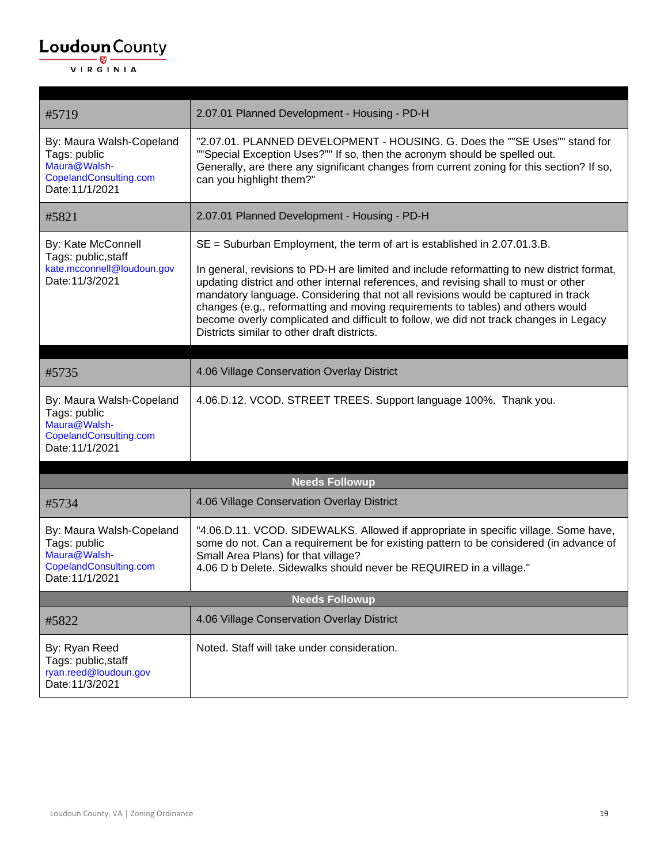| #5719                                                                                                 | 2.07.01 Planned Development - Housing - PD-H                                                                                                                                                                                                                                                                                                                                                                                                                                                                                                                                     |  |
|-------------------------------------------------------------------------------------------------------|----------------------------------------------------------------------------------------------------------------------------------------------------------------------------------------------------------------------------------------------------------------------------------------------------------------------------------------------------------------------------------------------------------------------------------------------------------------------------------------------------------------------------------------------------------------------------------|--|
| By: Maura Walsh-Copeland<br>Tags: public<br>Maura@Walsh-<br>CopelandConsulting.com<br>Date: 11/1/2021 | "2.07.01. PLANNED DEVELOPMENT - HOUSING. G. Does the ""SE Uses"" stand for<br>""Special Exception Uses?"" If so, then the acronym should be spelled out.<br>Generally, are there any significant changes from current zoning for this section? If so,<br>can you highlight them?"                                                                                                                                                                                                                                                                                                |  |
| #5821                                                                                                 | 2.07.01 Planned Development - Housing - PD-H                                                                                                                                                                                                                                                                                                                                                                                                                                                                                                                                     |  |
| By: Kate McConnell<br>Tags: public, staff<br>kate.mcconnell@loudoun.gov<br>Date: 11/3/2021            | $SE =$ Suburban Employment, the term of art is established in 2.07.01.3.B.<br>In general, revisions to PD-H are limited and include reformatting to new district format,<br>updating district and other internal references, and revising shall to must or other<br>mandatory language. Considering that not all revisions would be captured in track<br>changes (e.g., reformatting and moving requirements to tables) and others would<br>become overly complicated and difficult to follow, we did not track changes in Legacy<br>Districts similar to other draft districts. |  |
| #5735                                                                                                 | 4.06 Village Conservation Overlay District                                                                                                                                                                                                                                                                                                                                                                                                                                                                                                                                       |  |
| By: Maura Walsh-Copeland<br>Tags: public<br>Maura@Walsh-<br>CopelandConsulting.com<br>Date: 11/1/2021 | 4.06.D.12. VCOD. STREET TREES. Support language 100%. Thank you.                                                                                                                                                                                                                                                                                                                                                                                                                                                                                                                 |  |
|                                                                                                       | <b>Needs Followup</b>                                                                                                                                                                                                                                                                                                                                                                                                                                                                                                                                                            |  |
| #5734                                                                                                 | 4.06 Village Conservation Overlay District                                                                                                                                                                                                                                                                                                                                                                                                                                                                                                                                       |  |
| By: Maura Walsh-Copeland<br>Tags: public<br>Maura@Walsh-<br>CopelandConsulting.com<br>Date: 11/1/2021 | "4.06.D.11. VCOD. SIDEWALKS. Allowed if appropriate in specific village. Some have,<br>some do not. Can a requirement be for existing pattern to be considered (in advance of<br>Small Area Plans) for that village?<br>4.06 D b Delete. Sidewalks should never be REQUIRED in a village."                                                                                                                                                                                                                                                                                       |  |
|                                                                                                       | <b>Needs Followup</b>                                                                                                                                                                                                                                                                                                                                                                                                                                                                                                                                                            |  |
| #5822                                                                                                 | 4.06 Village Conservation Overlay District                                                                                                                                                                                                                                                                                                                                                                                                                                                                                                                                       |  |
| By: Ryan Reed<br>Tags: public, staff<br>ryan.reed@loudoun.gov<br>Date: 11/3/2021                      | Noted. Staff will take under consideration.                                                                                                                                                                                                                                                                                                                                                                                                                                                                                                                                      |  |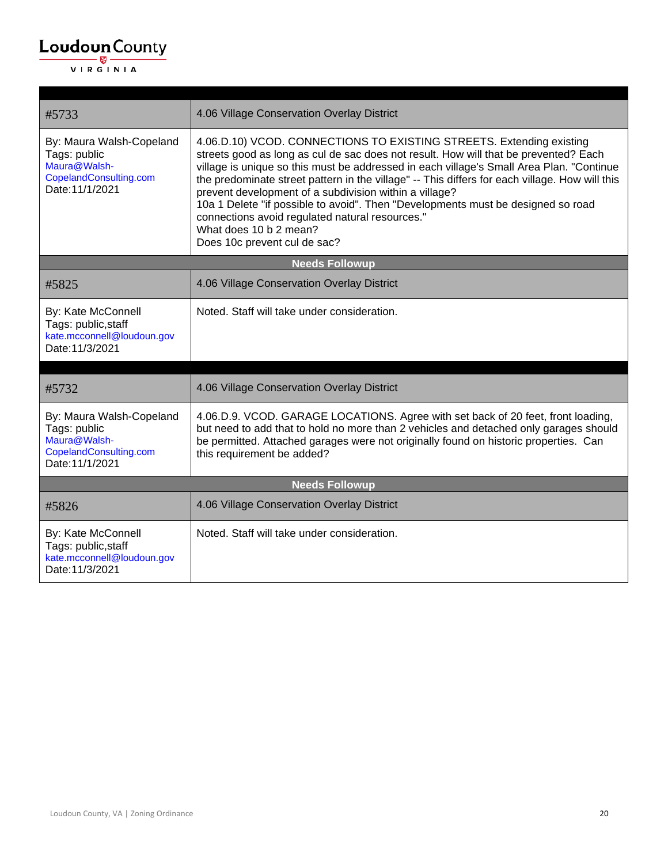| #5733                                                                                                 | 4.06 Village Conservation Overlay District                                                                                                                                                                                                                                                                                                                                                                                                                                                                                                                                                                            |  |
|-------------------------------------------------------------------------------------------------------|-----------------------------------------------------------------------------------------------------------------------------------------------------------------------------------------------------------------------------------------------------------------------------------------------------------------------------------------------------------------------------------------------------------------------------------------------------------------------------------------------------------------------------------------------------------------------------------------------------------------------|--|
| By: Maura Walsh-Copeland<br>Tags: public<br>Maura@Walsh-<br>CopelandConsulting.com<br>Date: 11/1/2021 | 4.06.D.10) VCOD. CONNECTIONS TO EXISTING STREETS. Extending existing<br>streets good as long as cul de sac does not result. How will that be prevented? Each<br>village is unique so this must be addressed in each village's Small Area Plan. "Continue<br>the predominate street pattern in the village" -- This differs for each village. How will this<br>prevent development of a subdivision within a village?<br>10a 1 Delete "if possible to avoid". Then "Developments must be designed so road<br>connections avoid regulated natural resources."<br>What does 10 b 2 mean?<br>Does 10c prevent cul de sac? |  |
| <b>Needs Followup</b>                                                                                 |                                                                                                                                                                                                                                                                                                                                                                                                                                                                                                                                                                                                                       |  |
| #5825                                                                                                 | 4.06 Village Conservation Overlay District                                                                                                                                                                                                                                                                                                                                                                                                                                                                                                                                                                            |  |
| By: Kate McConnell<br>Tags: public, staff<br>kate.mcconnell@loudoun.gov<br>Date: 11/3/2021            | Noted. Staff will take under consideration.                                                                                                                                                                                                                                                                                                                                                                                                                                                                                                                                                                           |  |
|                                                                                                       |                                                                                                                                                                                                                                                                                                                                                                                                                                                                                                                                                                                                                       |  |
| #5732                                                                                                 | 4.06 Village Conservation Overlay District                                                                                                                                                                                                                                                                                                                                                                                                                                                                                                                                                                            |  |
| By: Maura Walsh-Copeland<br>Tags: public<br>Maura@Walsh-<br>CopelandConsulting.com<br>Date: 11/1/2021 | 4.06.D.9. VCOD. GARAGE LOCATIONS. Agree with set back of 20 feet, front loading,<br>but need to add that to hold no more than 2 vehicles and detached only garages should<br>be permitted. Attached garages were not originally found on historic properties. Can<br>this requirement be added?                                                                                                                                                                                                                                                                                                                       |  |
|                                                                                                       | <b>Needs Followup</b>                                                                                                                                                                                                                                                                                                                                                                                                                                                                                                                                                                                                 |  |
| #5826                                                                                                 | 4.06 Village Conservation Overlay District                                                                                                                                                                                                                                                                                                                                                                                                                                                                                                                                                                            |  |
| By: Kate McConnell<br>Tags: public, staff<br>kate.mcconnell@loudoun.gov<br>Date: 11/3/2021            | Noted. Staff will take under consideration.                                                                                                                                                                                                                                                                                                                                                                                                                                                                                                                                                                           |  |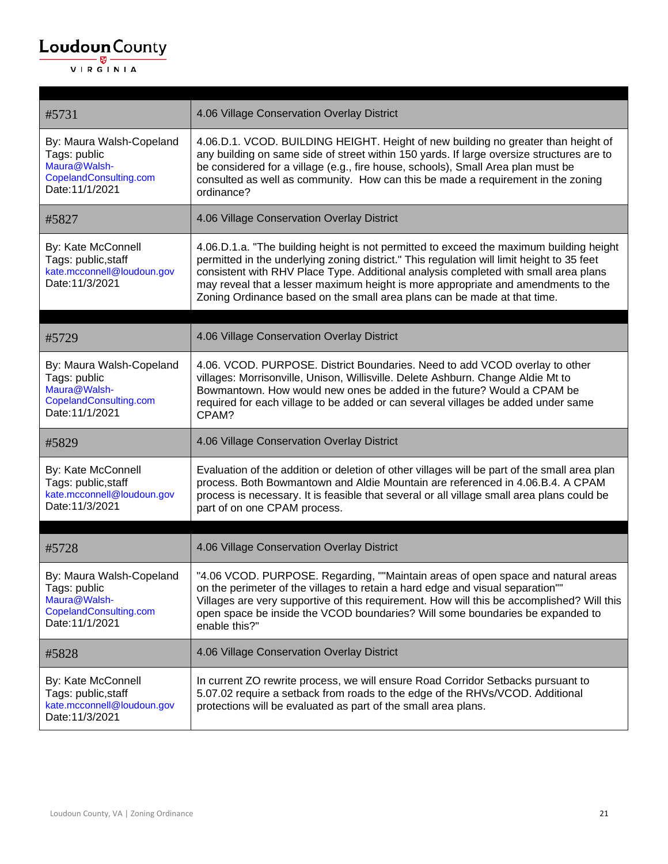| #5731                                                                                                 | 4.06 Village Conservation Overlay District                                                                                                                                                                                                                                                                                                                                                                                                    |
|-------------------------------------------------------------------------------------------------------|-----------------------------------------------------------------------------------------------------------------------------------------------------------------------------------------------------------------------------------------------------------------------------------------------------------------------------------------------------------------------------------------------------------------------------------------------|
| By: Maura Walsh-Copeland<br>Tags: public<br>Maura@Walsh-<br>CopelandConsulting.com<br>Date: 11/1/2021 | 4.06.D.1. VCOD. BUILDING HEIGHT. Height of new building no greater than height of<br>any building on same side of street within 150 yards. If large oversize structures are to<br>be considered for a village (e.g., fire house, schools), Small Area plan must be<br>consulted as well as community. How can this be made a requirement in the zoning<br>ordinance?                                                                          |
| #5827                                                                                                 | 4.06 Village Conservation Overlay District                                                                                                                                                                                                                                                                                                                                                                                                    |
| By: Kate McConnell<br>Tags: public, staff<br>kate.mcconnell@loudoun.gov<br>Date: 11/3/2021            | 4.06.D.1.a. "The building height is not permitted to exceed the maximum building height<br>permitted in the underlying zoning district." This regulation will limit height to 35 feet<br>consistent with RHV Place Type. Additional analysis completed with small area plans<br>may reveal that a lesser maximum height is more appropriate and amendments to the<br>Zoning Ordinance based on the small area plans can be made at that time. |
| #5729                                                                                                 | 4.06 Village Conservation Overlay District                                                                                                                                                                                                                                                                                                                                                                                                    |
| By: Maura Walsh-Copeland<br>Tags: public<br>Maura@Walsh-<br>CopelandConsulting.com<br>Date: 11/1/2021 | 4.06. VCOD. PURPOSE. District Boundaries. Need to add VCOD overlay to other<br>villages: Morrisonville, Unison, Willisville. Delete Ashburn. Change Aldie Mt to<br>Bowmantown. How would new ones be added in the future? Would a CPAM be<br>required for each village to be added or can several villages be added under same<br>CPAM?                                                                                                       |
| #5829                                                                                                 | 4.06 Village Conservation Overlay District                                                                                                                                                                                                                                                                                                                                                                                                    |
| By: Kate McConnell<br>Tags: public, staff<br>kate.mcconnell@loudoun.gov<br>Date: 11/3/2021            | Evaluation of the addition or deletion of other villages will be part of the small area plan<br>process. Both Bowmantown and Aldie Mountain are referenced in 4.06.B.4. A CPAM<br>process is necessary. It is feasible that several or all village small area plans could be<br>part of on one CPAM process.                                                                                                                                  |
| #5728                                                                                                 | 4.06 Village Conservation Overlay District                                                                                                                                                                                                                                                                                                                                                                                                    |
| By: Maura Walsh-Copeland<br>Tags: public<br>Maura@Walsh-<br>CopelandConsulting.com<br>Date: 11/1/2021 | "4.06 VCOD. PURPOSE. Regarding, ""Maintain areas of open space and natural areas<br>on the perimeter of the villages to retain a hard edge and visual separation""<br>Villages are very supportive of this requirement. How will this be accomplished? Will this<br>open space be inside the VCOD boundaries? Will some boundaries be expanded to<br>enable this?"                                                                            |
| #5828                                                                                                 | 4.06 Village Conservation Overlay District                                                                                                                                                                                                                                                                                                                                                                                                    |
| By: Kate McConnell<br>Tags: public, staff<br>kate.mcconnell@loudoun.gov<br>Date: 11/3/2021            | In current ZO rewrite process, we will ensure Road Corridor Setbacks pursuant to<br>5.07.02 require a setback from roads to the edge of the RHVs/VCOD. Additional<br>protections will be evaluated as part of the small area plans.                                                                                                                                                                                                           |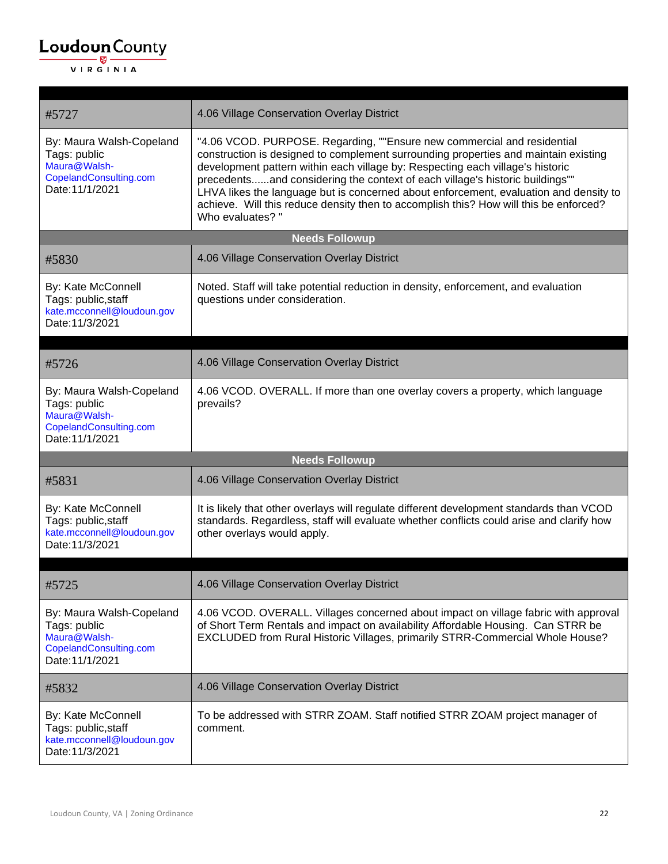| #5727                                                                                                 | 4.06 Village Conservation Overlay District                                                                                                                                                                                                                                                                                                                                                                                                                                                                                            |  |  |
|-------------------------------------------------------------------------------------------------------|---------------------------------------------------------------------------------------------------------------------------------------------------------------------------------------------------------------------------------------------------------------------------------------------------------------------------------------------------------------------------------------------------------------------------------------------------------------------------------------------------------------------------------------|--|--|
| By: Maura Walsh-Copeland<br>Tags: public<br>Maura@Walsh-<br>CopelandConsulting.com<br>Date: 11/1/2021 | "4.06 VCOD. PURPOSE. Regarding, ""Ensure new commercial and residential<br>construction is designed to complement surrounding properties and maintain existing<br>development pattern within each village by: Respecting each village's historic<br>precedentsand considering the context of each village's historic buildings""<br>LHVA likes the language but is concerned about enforcement, evaluation and density to<br>achieve. Will this reduce density then to accomplish this? How will this be enforced?<br>Who evaluates?" |  |  |
|                                                                                                       | <b>Needs Followup</b>                                                                                                                                                                                                                                                                                                                                                                                                                                                                                                                 |  |  |
| #5830                                                                                                 | 4.06 Village Conservation Overlay District                                                                                                                                                                                                                                                                                                                                                                                                                                                                                            |  |  |
| By: Kate McConnell<br>Tags: public, staff<br>kate.mcconnell@loudoun.gov<br>Date: 11/3/2021            | Noted. Staff will take potential reduction in density, enforcement, and evaluation<br>questions under consideration.                                                                                                                                                                                                                                                                                                                                                                                                                  |  |  |
| #5726                                                                                                 | 4.06 Village Conservation Overlay District                                                                                                                                                                                                                                                                                                                                                                                                                                                                                            |  |  |
| By: Maura Walsh-Copeland<br>Tags: public<br>Maura@Walsh-<br>CopelandConsulting.com<br>Date: 11/1/2021 | 4.06 VCOD. OVERALL. If more than one overlay covers a property, which language<br>prevails?                                                                                                                                                                                                                                                                                                                                                                                                                                           |  |  |
|                                                                                                       | <b>Needs Followup</b>                                                                                                                                                                                                                                                                                                                                                                                                                                                                                                                 |  |  |
| #5831                                                                                                 | 4.06 Village Conservation Overlay District                                                                                                                                                                                                                                                                                                                                                                                                                                                                                            |  |  |
| By: Kate McConnell<br>Tags: public, staff<br>kate.mcconnell@loudoun.gov<br>Date: 11/3/2021            | It is likely that other overlays will regulate different development standards than VCOD<br>standards. Regardless, staff will evaluate whether conflicts could arise and clarify how<br>other overlays would apply.                                                                                                                                                                                                                                                                                                                   |  |  |
| #5725                                                                                                 | 4.06 Village Conservation Overlay District                                                                                                                                                                                                                                                                                                                                                                                                                                                                                            |  |  |
| By: Maura Walsh-Copeland<br>Tags: public<br>Maura@Walsh-<br>CopelandConsulting.com<br>Date: 11/1/2021 | 4.06 VCOD. OVERALL. Villages concerned about impact on village fabric with approval<br>of Short Term Rentals and impact on availability Affordable Housing. Can STRR be<br>EXCLUDED from Rural Historic Villages, primarily STRR-Commercial Whole House?                                                                                                                                                                                                                                                                              |  |  |
| #5832                                                                                                 | 4.06 Village Conservation Overlay District                                                                                                                                                                                                                                                                                                                                                                                                                                                                                            |  |  |
| By: Kate McConnell<br>Tags: public, staff<br>kate.mcconnell@loudoun.gov<br>Date: 11/3/2021            | To be addressed with STRR ZOAM. Staff notified STRR ZOAM project manager of<br>comment.                                                                                                                                                                                                                                                                                                                                                                                                                                               |  |  |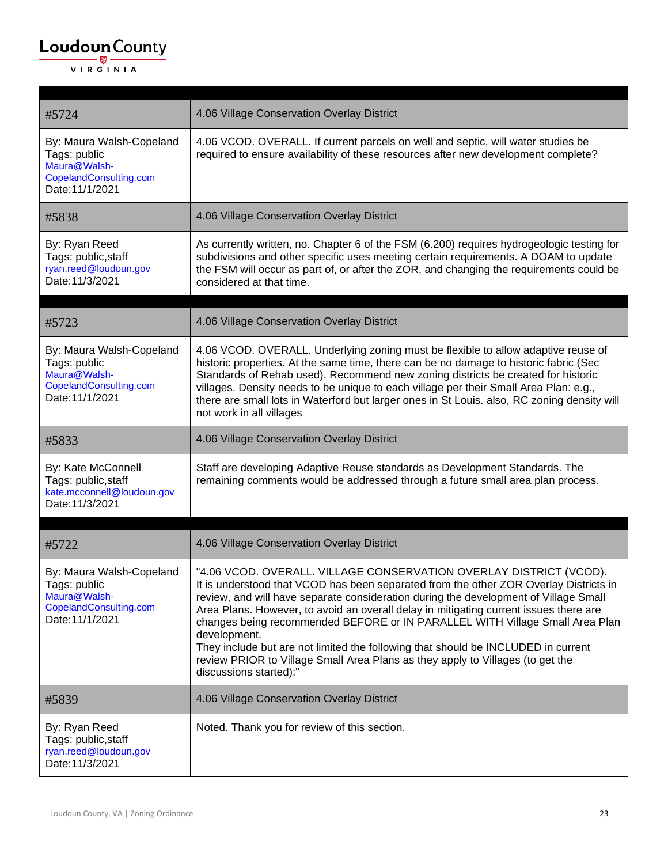| #5724                                                                                                 | 4.06 Village Conservation Overlay District                                                                                                                                                                                                                                                                                                                                                                                                                                                                                                                                                                                                    |
|-------------------------------------------------------------------------------------------------------|-----------------------------------------------------------------------------------------------------------------------------------------------------------------------------------------------------------------------------------------------------------------------------------------------------------------------------------------------------------------------------------------------------------------------------------------------------------------------------------------------------------------------------------------------------------------------------------------------------------------------------------------------|
| By: Maura Walsh-Copeland<br>Tags: public<br>Maura@Walsh-<br>CopelandConsulting.com<br>Date: 11/1/2021 | 4.06 VCOD. OVERALL. If current parcels on well and septic, will water studies be<br>required to ensure availability of these resources after new development complete?                                                                                                                                                                                                                                                                                                                                                                                                                                                                        |
| #5838                                                                                                 | 4.06 Village Conservation Overlay District                                                                                                                                                                                                                                                                                                                                                                                                                                                                                                                                                                                                    |
| By: Ryan Reed<br>Tags: public, staff<br>ryan.reed@loudoun.gov<br>Date:11/3/2021                       | As currently written, no. Chapter 6 of the FSM (6.200) requires hydrogeologic testing for<br>subdivisions and other specific uses meeting certain requirements. A DOAM to update<br>the FSM will occur as part of, or after the ZOR, and changing the requirements could be<br>considered at that time.                                                                                                                                                                                                                                                                                                                                       |
| #5723                                                                                                 | 4.06 Village Conservation Overlay District                                                                                                                                                                                                                                                                                                                                                                                                                                                                                                                                                                                                    |
| By: Maura Walsh-Copeland<br>Tags: public<br>Maura@Walsh-<br>CopelandConsulting.com<br>Date: 11/1/2021 | 4.06 VCOD. OVERALL. Underlying zoning must be flexible to allow adaptive reuse of<br>historic properties. At the same time, there can be no damage to historic fabric (Sec<br>Standards of Rehab used). Recommend new zoning districts be created for historic<br>villages. Density needs to be unique to each village per their Small Area Plan: e.g.,<br>there are small lots in Waterford but larger ones in St Louis. also, RC zoning density will<br>not work in all villages                                                                                                                                                            |
| #5833                                                                                                 | 4.06 Village Conservation Overlay District                                                                                                                                                                                                                                                                                                                                                                                                                                                                                                                                                                                                    |
| By: Kate McConnell<br>Tags: public, staff<br>kate.mcconnell@loudoun.gov<br>Date: 11/3/2021            | Staff are developing Adaptive Reuse standards as Development Standards. The<br>remaining comments would be addressed through a future small area plan process.                                                                                                                                                                                                                                                                                                                                                                                                                                                                                |
| #5722                                                                                                 | 4.06 Village Conservation Overlay District                                                                                                                                                                                                                                                                                                                                                                                                                                                                                                                                                                                                    |
| By: Maura Walsh-Copeland<br>Tags: public<br>Maura@Walsh-<br>CopelandConsulting.com<br>Date: 11/1/2021 | "4.06 VCOD. OVERALL. VILLAGE CONSERVATION OVERLAY DISTRICT (VCOD).<br>It is understood that VCOD has been separated from the other ZOR Overlay Districts in<br>review, and will have separate consideration during the development of Village Small<br>Area Plans. However, to avoid an overall delay in mitigating current issues there are<br>changes being recommended BEFORE or IN PARALLEL WITH Village Small Area Plan<br>development.<br>They include but are not limited the following that should be INCLUDED in current<br>review PRIOR to Village Small Area Plans as they apply to Villages (to get the<br>discussions started):" |
| #5839                                                                                                 | 4.06 Village Conservation Overlay District                                                                                                                                                                                                                                                                                                                                                                                                                                                                                                                                                                                                    |
| By: Ryan Reed<br>Tags: public, staff<br>ryan.reed@loudoun.gov<br>Date: 11/3/2021                      | Noted. Thank you for review of this section.                                                                                                                                                                                                                                                                                                                                                                                                                                                                                                                                                                                                  |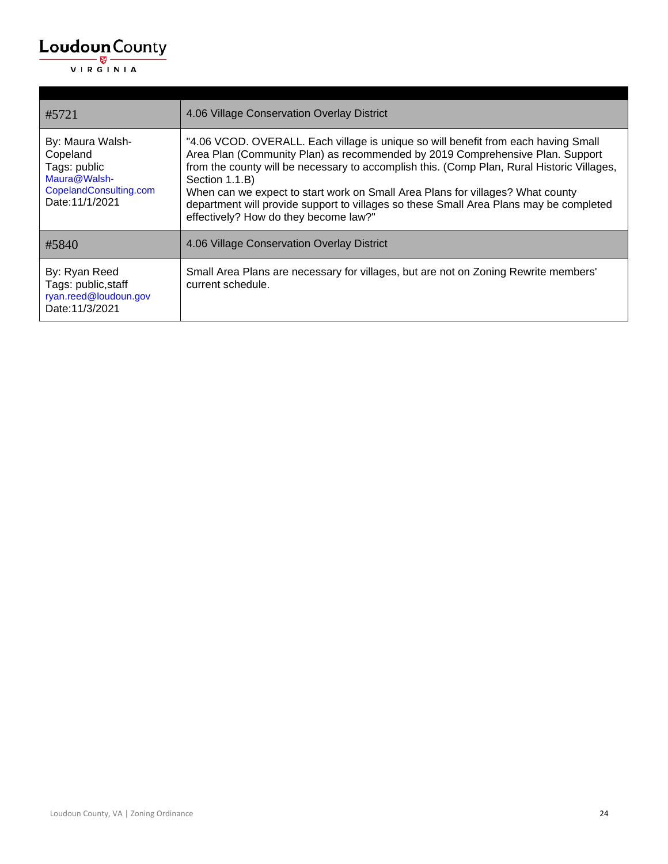| #5721                                                                                                     | 4.06 Village Conservation Overlay District                                                                                                                                                                                                                                                                                                                                                                                                                                                               |
|-----------------------------------------------------------------------------------------------------------|----------------------------------------------------------------------------------------------------------------------------------------------------------------------------------------------------------------------------------------------------------------------------------------------------------------------------------------------------------------------------------------------------------------------------------------------------------------------------------------------------------|
| By: Maura Walsh-<br>Copeland<br>Tags: public<br>Maura@Walsh-<br>CopelandConsulting.com<br>Date: 11/1/2021 | "4.06 VCOD. OVERALL. Each village is unique so will benefit from each having Small<br>Area Plan (Community Plan) as recommended by 2019 Comprehensive Plan. Support<br>from the county will be necessary to accomplish this. (Comp Plan, Rural Historic Villages,<br>Section 1.1.B)<br>When can we expect to start work on Small Area Plans for villages? What county<br>department will provide support to villages so these Small Area Plans may be completed<br>effectively? How do they become law?" |
| #5840                                                                                                     | 4.06 Village Conservation Overlay District                                                                                                                                                                                                                                                                                                                                                                                                                                                               |
| By: Ryan Reed<br>Tags: public, staff<br>ryan.reed@loudoun.gov<br>Date: 11/3/2021                          | Small Area Plans are necessary for villages, but are not on Zoning Rewrite members'<br>current schedule.                                                                                                                                                                                                                                                                                                                                                                                                 |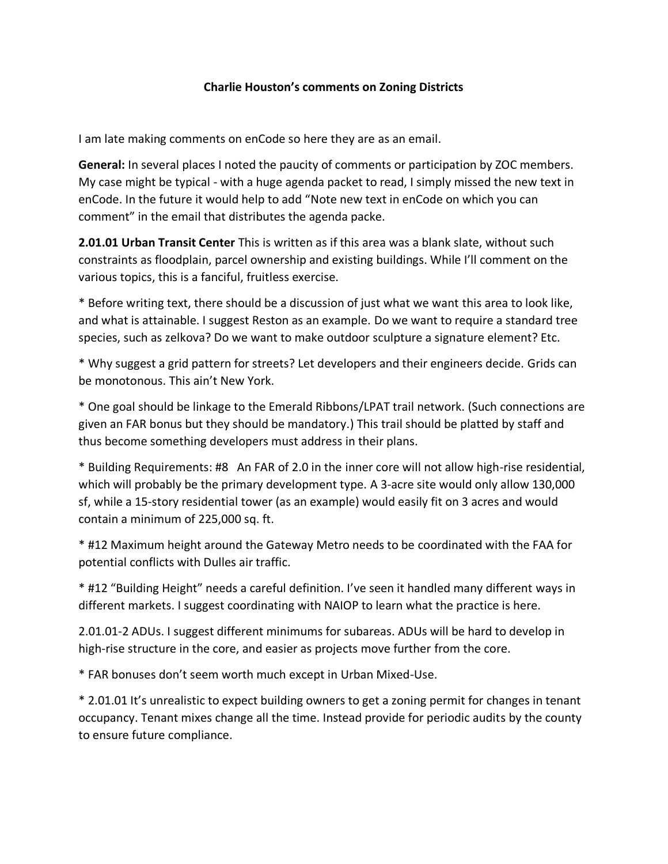#### **Charlie Houston's comments on Zoning Districts**

I am late making comments on enCode so here they are as an email.

**General:** In several places I noted the paucity of comments or participation by ZOC members. My case might be typical - with a huge agenda packet to read, I simply missed the new text in enCode. In the future it would help to add "Note new text in enCode on which you can comment" in the email that distributes the agenda packe.

**2.01.01 Urban Transit Center** This is written as if this area was a blank slate, without such constraints as floodplain, parcel ownership and existing buildings. While I'll comment on the various topics, this is a fanciful, fruitless exercise.

\* Before writing text, there should be a discussion of just what we want this area to look like, and what is attainable. I suggest Reston as an example. Do we want to require a standard tree species, such as zelkova? Do we want to make outdoor sculpture a signature element? Etc.

\* Why suggest a grid pattern for streets? Let developers and their engineers decide. Grids can be monotonous. This ain't New York.

\* One goal should be linkage to the Emerald Ribbons/LPAT trail network. (Such connections are given an FAR bonus but they should be mandatory.) This trail should be platted by staff and thus become something developers must address in their plans.

\* Building Requirements: #8 An FAR of 2.0 in the inner core will not allow high-rise residential, which will probably be the primary development type. A 3-acre site would only allow 130,000 sf, while a 15-story residential tower (as an example) would easily fit on 3 acres and would contain a minimum of 225,000 sq. ft.

\* #12 Maximum height around the Gateway Metro needs to be coordinated with the FAA for potential conflicts with Dulles air traffic.

\* #12 "Building Height" needs a careful definition. I've seen it handled many different ways in different markets. I suggest coordinating with NAIOP to learn what the practice is here.

2.01.01-2 ADUs. I suggest different minimums for subareas. ADUs will be hard to develop in high-rise structure in the core, and easier as projects move further from the core.

\* FAR bonuses don't seem worth much except in Urban Mixed-Use.

\* 2.01.01 It's unrealistic to expect building owners to get a zoning permit for changes in tenant occupancy. Tenant mixes change all the time. Instead provide for periodic audits by the county to ensure future compliance.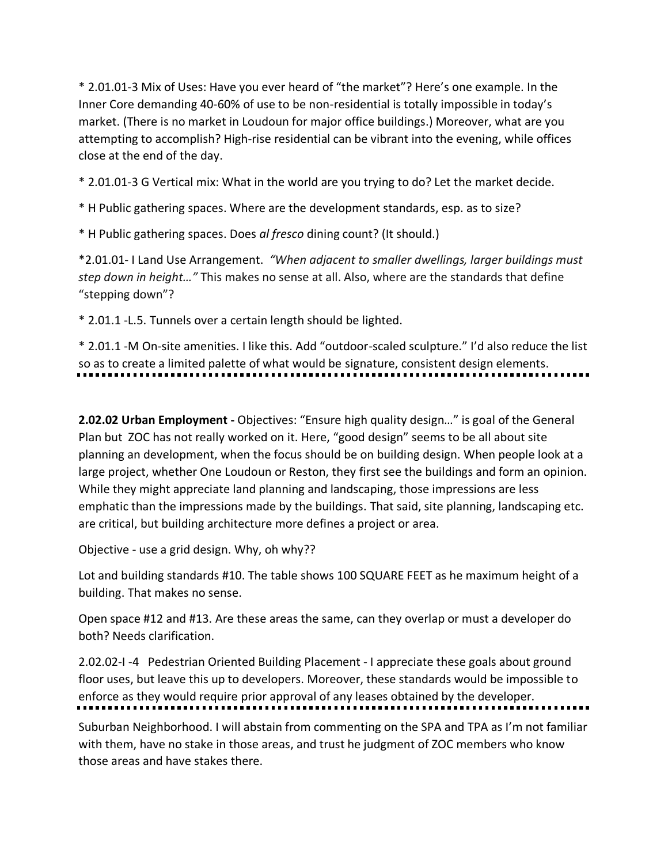\* 2.01.01-3 Mix of Uses: Have you ever heard of "the market"? Here's one example. In the Inner Core demanding 40-60% of use to be non-residential is totally impossible in today's market. (There is no market in Loudoun for major office buildings.) Moreover, what are you attempting to accomplish? High-rise residential can be vibrant into the evening, while offices close at the end of the day.

\* 2.01.01-3 G Vertical mix: What in the world are you trying to do? Let the market decide.

\* H Public gathering spaces. Where are the development standards, esp. as to size?

\* H Public gathering spaces. Does *al fresco* dining count? (It should.)

\*2.01.01- I Land Use Arrangement. *"When adjacent to smaller dwellings, larger buildings must step down in height…"* This makes no sense at all. Also, where are the standards that define "stepping down"?

\* 2.01.1 -L.5. Tunnels over a certain length should be lighted.

\* 2.01.1 -M On-site amenities. I like this. Add "outdoor-scaled sculpture." I'd also reduce the list so as to create a limited palette of what would be signature, consistent design elements.

**2.02.02 Urban Employment -** Objectives: "Ensure high quality design…" is goal of the General Plan but ZOC has not really worked on it. Here, "good design" seems to be all about site planning an development, when the focus should be on building design. When people look at a large project, whether One Loudoun or Reston, they first see the buildings and form an opinion. While they might appreciate land planning and landscaping, those impressions are less emphatic than the impressions made by the buildings. That said, site planning, landscaping etc. are critical, but building architecture more defines a project or area.

Objective - use a grid design. Why, oh why??

Lot and building standards #10. The table shows 100 SQUARE FEET as he maximum height of a building. That makes no sense.

Open space #12 and #13. Are these areas the same, can they overlap or must a developer do both? Needs clarification.

2.02.02-I -4 Pedestrian Oriented Building Placement - I appreciate these goals about ground floor uses, but leave this up to developers. Moreover, these standards would be impossible to enforce as they would require prior approval of any leases obtained by the developer.

Suburban Neighborhood. I will abstain from commenting on the SPA and TPA as I'm not familiar with them, have no stake in those areas, and trust he judgment of ZOC members who know those areas and have stakes there.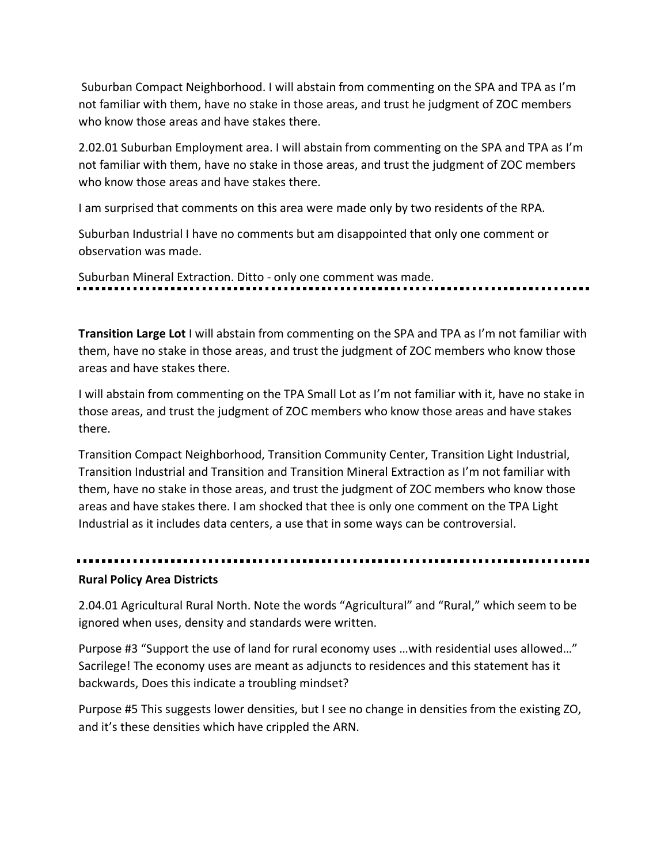Suburban Compact Neighborhood. I will abstain from commenting on the SPA and TPA as I'm not familiar with them, have no stake in those areas, and trust he judgment of ZOC members who know those areas and have stakes there.

2.02.01 Suburban Employment area. I will abstain from commenting on the SPA and TPA as I'm not familiar with them, have no stake in those areas, and trust the judgment of ZOC members who know those areas and have stakes there.

I am surprised that comments on this area were made only by two residents of the RPA.

Suburban Industrial I have no comments but am disappointed that only one comment or observation was made.

Suburban Mineral Extraction. Ditto - only one comment was made.

**Transition Large Lot** I will abstain from commenting on the SPA and TPA as I'm not familiar with them, have no stake in those areas, and trust the judgment of ZOC members who know those areas and have stakes there.

I will abstain from commenting on the TPA Small Lot as I'm not familiar with it, have no stake in those areas, and trust the judgment of ZOC members who know those areas and have stakes there.

Transition Compact Neighborhood, Transition Community Center, Transition Light Industrial, Transition Industrial and Transition and Transition Mineral Extraction as I'm not familiar with them, have no stake in those areas, and trust the judgment of ZOC members who know those areas and have stakes there. I am shocked that thee is only one comment on the TPA Light Industrial as it includes data centers, a use that in some ways can be controversial.

#### **Rural Policy Area Districts**

2.04.01 Agricultural Rural North. Note the words "Agricultural" and "Rural," which seem to be ignored when uses, density and standards were written.

Purpose #3 "Support the use of land for rural economy uses …with residential uses allowed…" Sacrilege! The economy uses are meant as adjuncts to residences and this statement has it backwards, Does this indicate a troubling mindset?

Purpose #5 This suggests lower densities, but I see no change in densities from the existing ZO, and it's these densities which have crippled the ARN.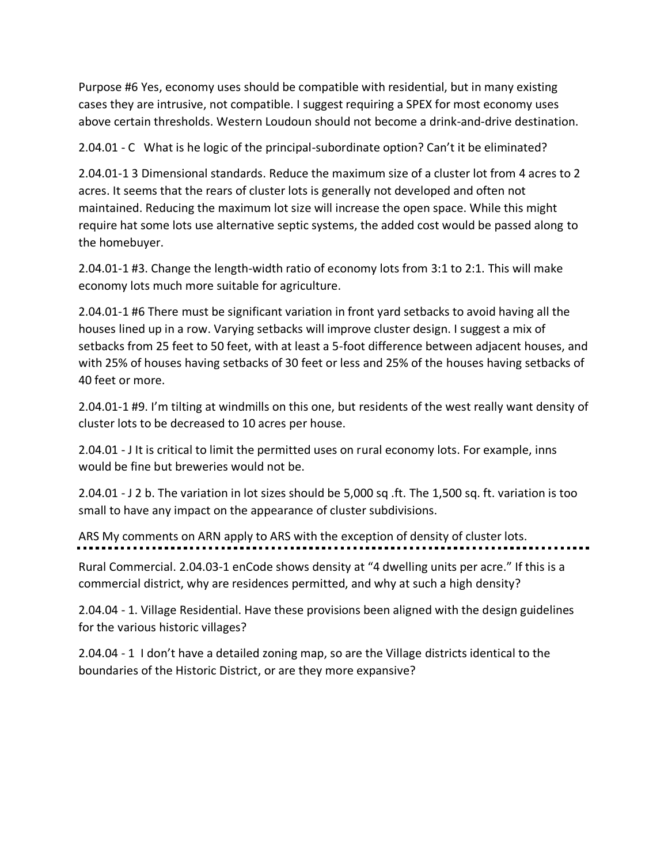Purpose #6 Yes, economy uses should be compatible with residential, but in many existing cases they are intrusive, not compatible. I suggest requiring a SPEX for most economy uses above certain thresholds. Western Loudoun should not become a drink-and-drive destination.

2.04.01 - C What is he logic of the principal-subordinate option? Can't it be eliminated?

2.04.01-1 3 Dimensional standards. Reduce the maximum size of a cluster lot from 4 acres to 2 acres. It seems that the rears of cluster lots is generally not developed and often not maintained. Reducing the maximum lot size will increase the open space. While this might require hat some lots use alternative septic systems, the added cost would be passed along to the homebuyer.

2.04.01-1 #3. Change the length-width ratio of economy lots from 3:1 to 2:1. This will make economy lots much more suitable for agriculture.

2.04.01-1 #6 There must be significant variation in front yard setbacks to avoid having all the houses lined up in a row. Varying setbacks will improve cluster design. I suggest a mix of setbacks from 25 feet to 50 feet, with at least a 5-foot difference between adjacent houses, and with 25% of houses having setbacks of 30 feet or less and 25% of the houses having setbacks of 40 feet or more.

2.04.01-1 #9. I'm tilting at windmills on this one, but residents of the west really want density of cluster lots to be decreased to 10 acres per house.

2.04.01 - J It is critical to limit the permitted uses on rural economy lots. For example, inns would be fine but breweries would not be.

2.04.01 - J 2 b. The variation in lot sizes should be 5,000 sq .ft. The 1,500 sq. ft. variation is too small to have any impact on the appearance of cluster subdivisions.

ARS My comments on ARN apply to ARS with the exception of density of cluster lots.

Rural Commercial. 2.04.03-1 enCode shows density at "4 dwelling units per acre." If this is a commercial district, why are residences permitted, and why at such a high density?

2.04.04 - 1. Village Residential. Have these provisions been aligned with the design guidelines for the various historic villages?

2.04.04 - 1 I don't have a detailed zoning map, so are the Village districts identical to the boundaries of the Historic District, or are they more expansive?